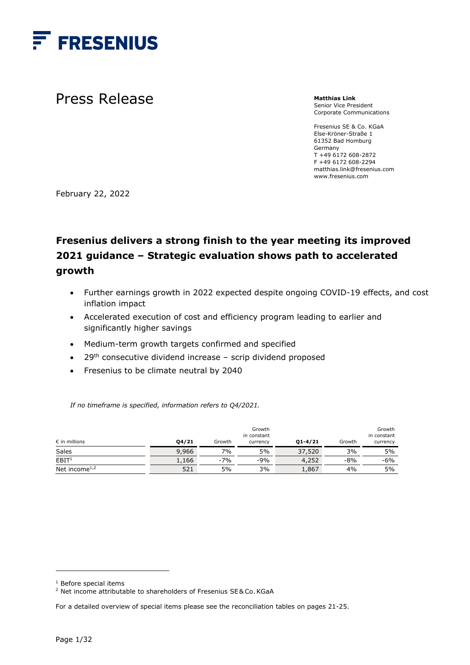

Press Release

**Matthias Link**  Senior Vice President Corporate Communications

Fresenius SE & Co. KGaA Else-Kröner-Straße 1 61352 Bad Homburg Germany T +49 6172 608-2872 F +49 6172 608-2294 matthias.link@fresenius.com www.fresenius.com

February 22, 2022

# **Fresenius delivers a strong finish to the year meeting its improved 2021 guidance – Strategic evaluation shows path to accelerated growth**

- Further earnings growth in 2022 expected despite ongoing COVID-19 effects, and cost inflation impact
- Accelerated execution of cost and efficiency program leading to earlier and significantly higher savings
- Medium-term growth targets confirmed and specified
- $\bullet$  29<sup>th</sup> consecutive dividend increase scrip dividend proposed
- Fresenius to be climate neutral by 2040

*If no timeframe is specified, information refers to Q4/2021.* 

| $\epsilon$ in millions                 | 04/21 | Growth | Growth<br>in constant<br>currency | $Q1 - 4/21$ | Growth | Growth<br>in constant<br>currency |
|----------------------------------------|-------|--------|-----------------------------------|-------------|--------|-----------------------------------|
| Sales                                  | 9,966 | 7%     | 5%                                | 37,520      | 3%     | 5%                                |
| EBIT <sup>1</sup>                      | 1,166 | $-7%$  | $-9%$                             | 4,252       | $-8%$  | $-6%$                             |
| Net income <sup><math>1,2</math></sup> | 521   | 5%     | 3%                                | 1,867       | 4%     | 5%                                |

<sup>1</sup> Before special items

<sup>&</sup>lt;sup>2</sup> Net income attributable to shareholders of Fresenius SE&Co. KGaA

For a detailed overview of special items please see the reconciliation tables on pages 21-25.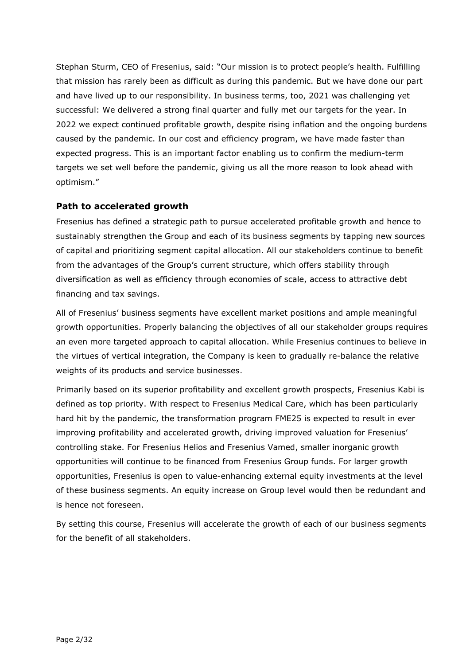Stephan Sturm, CEO of Fresenius, said: "Our mission is to protect people's health. Fulfilling that mission has rarely been as difficult as during this pandemic. But we have done our part and have lived up to our responsibility. In business terms, too, 2021 was challenging yet successful: We delivered a strong final quarter and fully met our targets for the year. In 2022 we expect continued profitable growth, despite rising inflation and the ongoing burdens caused by the pandemic. In our cost and efficiency program, we have made faster than expected progress. This is an important factor enabling us to confirm the medium-term targets we set well before the pandemic, giving us all the more reason to look ahead with optimism."

#### **Path to accelerated growth**

Fresenius has defined a strategic path to pursue accelerated profitable growth and hence to sustainably strengthen the Group and each of its business segments by tapping new sources of capital and prioritizing segment capital allocation. All our stakeholders continue to benefit from the advantages of the Group's current structure, which offers stability through diversification as well as efficiency through economies of scale, access to attractive debt financing and tax savings.

All of Fresenius' business segments have excellent market positions and ample meaningful growth opportunities. Properly balancing the objectives of all our stakeholder groups requires an even more targeted approach to capital allocation. While Fresenius continues to believe in the virtues of vertical integration, the Company is keen to gradually re-balance the relative weights of its products and service businesses.

Primarily based on its superior profitability and excellent growth prospects, Fresenius Kabi is defined as top priority. With respect to Fresenius Medical Care, which has been particularly hard hit by the pandemic, the transformation program FME25 is expected to result in ever improving profitability and accelerated growth, driving improved valuation for Fresenius' controlling stake. For Fresenius Helios and Fresenius Vamed, smaller inorganic growth opportunities will continue to be financed from Fresenius Group funds. For larger growth opportunities, Fresenius is open to value-enhancing external equity investments at the level of these business segments. An equity increase on Group level would then be redundant and is hence not foreseen.

By setting this course, Fresenius will accelerate the growth of each of our business segments for the benefit of all stakeholders.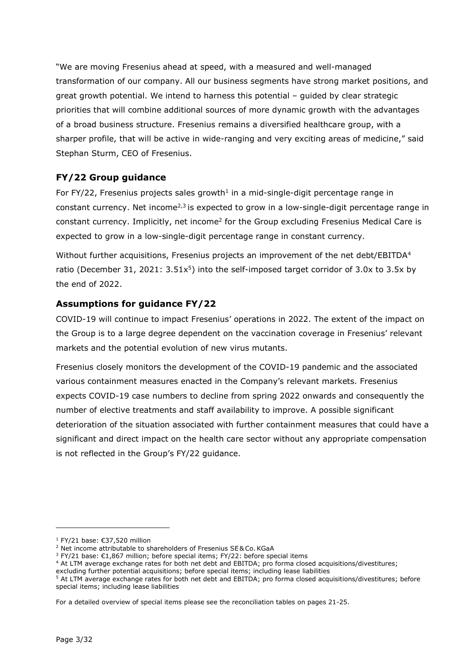"We are moving Fresenius ahead at speed, with a measured and well-managed transformation of our company. All our business segments have strong market positions, and great growth potential. We intend to harness this potential – guided by clear strategic priorities that will combine additional sources of more dynamic growth with the advantages of a broad business structure. Fresenius remains a diversified healthcare group, with a sharper profile, that will be active in wide-ranging and very exciting areas of medicine," said Stephan Sturm, CEO of Fresenius.

## **FY/22 Group guidance**

For  $FY/22$ , Fresenius projects sales growth<sup>1</sup> in a mid-single-digit percentage range in constant currency. Net income<sup> $2,3$ </sup> is expected to grow in a low-single-digit percentage range in constant currency. Implicitly, net income<sup>2</sup> for the Group excluding Fresenius Medical Care is expected to grow in a low-single-digit percentage range in constant currency.

Without further acquisitions, Fresenius projects an improvement of the net debt/EBITDA<sup>4</sup> ratio (December 31, 2021:  $3.51x^5$ ) into the self-imposed target corridor of 3.0x to 3.5x by the end of 2022.

## **Assumptions for guidance FY/22**

COVID-19 will continue to impact Fresenius' operations in 2022. The extent of the impact on the Group is to a large degree dependent on the vaccination coverage in Fresenius' relevant markets and the potential evolution of new virus mutants.

Fresenius closely monitors the development of the COVID-19 pandemic and the associated various containment measures enacted in the Company's relevant markets. Fresenius expects COVID-19 case numbers to decline from spring 2022 onwards and consequently the number of elective treatments and staff availability to improve. A possible significant deterioration of the situation associated with further containment measures that could have a significant and direct impact on the health care sector without any appropriate compensation is not reflected in the Group's FY/22 guidance.

<sup>&</sup>lt;sup>1</sup> FY/21 base: €37,520 million

<sup>2</sup> Net income attributable to shareholders of Fresenius SE& Co.KGaA

<sup>&</sup>lt;sup>3</sup> FY/21 base: €1,867 million; before special items; FY/22: before special items

<sup>4</sup> At LTM average exchange rates for both net debt and EBITDA; pro forma closed acquisitions/divestitures;

excluding further potential acquisitions; before special items; including lease liabilities

<sup>&</sup>lt;sup>5</sup> At LTM average exchange rates for both net debt and EBITDA; pro forma closed acquisitions/divestitures; before special items; including lease liabilities

For a detailed overview of special items please see the reconciliation tables on pages 21-25.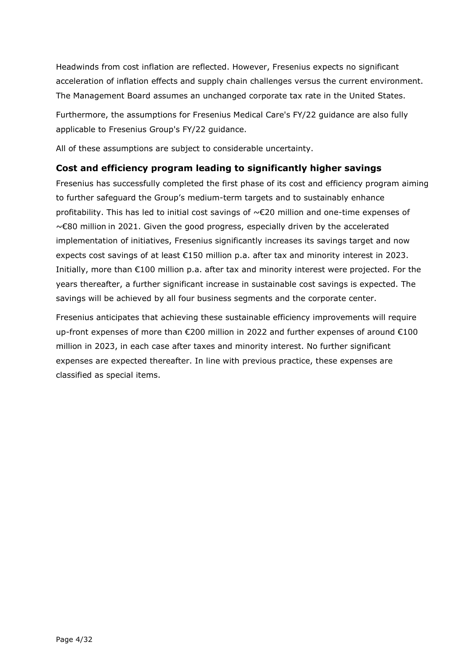Headwinds from cost inflation are reflected. However, Fresenius expects no significant acceleration of inflation effects and supply chain challenges versus the current environment. The Management Board assumes an unchanged corporate tax rate in the United States.

Furthermore, the assumptions for Fresenius Medical Care's FY/22 guidance are also fully applicable to Fresenius Group's FY/22 guidance.

All of these assumptions are subject to considerable uncertainty.

### **Cost and efficiency program leading to significantly higher savings**

Fresenius has successfully completed the first phase of its cost and efficiency program aiming to further safeguard the Group's medium-term targets and to sustainably enhance profitability. This has led to initial cost savings of ~€20 million and one-time expenses of ~€80 million in 2021. Given the good progress, especially driven by the accelerated implementation of initiatives, Fresenius significantly increases its savings target and now expects cost savings of at least €150 million p.a. after tax and minority interest in 2023. Initially, more than €100 million p.a. after tax and minority interest were projected. For the years thereafter, a further significant increase in sustainable cost savings is expected. The savings will be achieved by all four business segments and the corporate center.

Fresenius anticipates that achieving these sustainable efficiency improvements will require up-front expenses of more than €200 million in 2022 and further expenses of around €100 million in 2023, in each case after taxes and minority interest. No further significant expenses are expected thereafter. In line with previous practice, these expenses are classified as special items.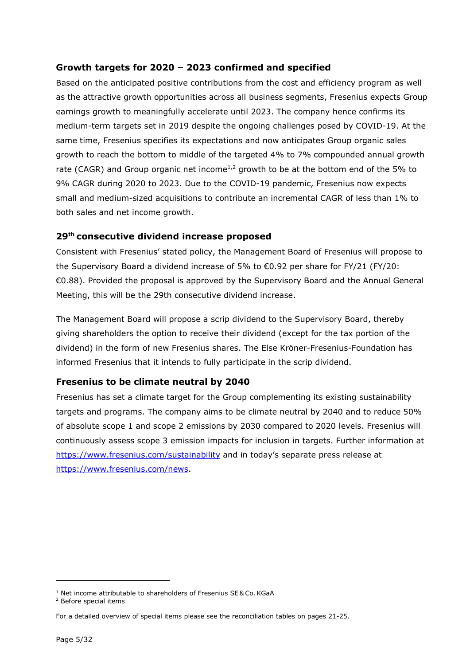## **Growth targets for 2020 – 2023 confirmed and specified**

Based on the anticipated positive contributions from the cost and efficiency program as well as the attractive growth opportunities across all business segments, Fresenius expects Group earnings growth to meaningfully accelerate until 2023. The company hence confirms its medium-term targets set in 2019 despite the ongoing challenges posed by COVID-19. At the same time, Fresenius specifies its expectations and now anticipates Group organic sales growth to reach the bottom to middle of the targeted 4% to 7% compounded annual growth rate (CAGR) and Group organic net income<sup>1,2</sup> growth to be at the bottom end of the 5% to 9% CAGR during 2020 to 2023. Due to the COVID-19 pandemic, Fresenius now expects small and medium-sized acquisitions to contribute an incremental CAGR of less than 1% to both sales and net income growth.

### **29th consecutive dividend increase proposed**

Consistent with Fresenius' stated policy, the Management Board of Fresenius will propose to the Supervisory Board a dividend increase of 5% to €0.92 per share for FY/21 (FY/20: €0.88). Provided the proposal is approved by the Supervisory Board and the Annual General Meeting, this will be the 29th consecutive dividend increase.

The Management Board will propose a scrip dividend to the Supervisory Board, thereby giving shareholders the option to receive their dividend (except for the tax portion of the dividend) in the form of new Fresenius shares. The Else Kröner-Fresenius-Foundation has informed Fresenius that it intends to fully participate in the scrip dividend.

### **Fresenius to be climate neutral by 2040**

Fresenius has set a climate target for the Group complementing its existing sustainability targets and programs. The company aims to be climate neutral by 2040 and to reduce 50% of absolute scope 1 and scope 2 emissions by 2030 compared to 2020 levels. Fresenius will continuously assess scope 3 emission impacts for inclusion in targets. Further information at <https://www.fresenius.com/sustainability>and in today's separate press release at [https://www.fresenius.com/news.](https://www.fresenius.com/news)

<sup>&</sup>lt;sup>1</sup> Net income attributable to shareholders of Fresenius SE& Co. KGaA

<sup>2</sup> Before special items

For a detailed overview of special items please see the reconciliation tables on pages 21-25.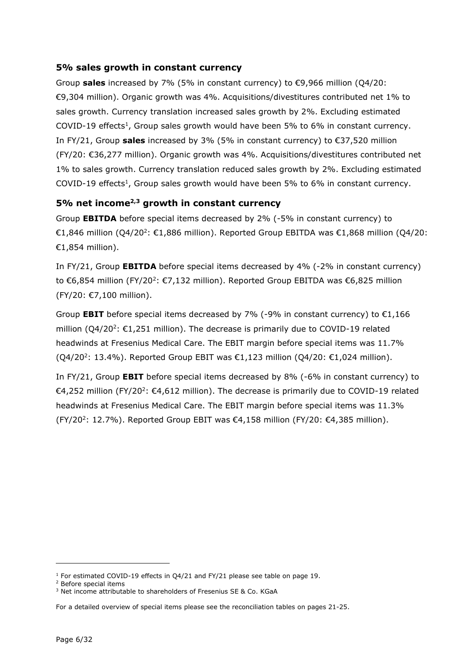#### **5% sales growth in constant currency**

Group **sales** increased by 7% (5% in constant currency) to €9,966 million (Q4/20: €9,304 million). Organic growth was 4%. Acquisitions/divestitures contributed net 1% to sales growth. Currency translation increased sales growth by 2%. Excluding estimated COVID-19 effects<sup>1</sup>, Group sales growth would have been 5% to 6% in constant currency. In FY/21, Group **sales** increased by 3% (5% in constant currency) to €37,520 million (FY/20: €36,277 million). Organic growth was 4%. Acquisitions/divestitures contributed net 1% to sales growth. Currency translation reduced sales growth by 2%. Excluding estimated COVID-19 effects<sup>1</sup>, Group sales growth would have been 5% to 6% in constant currency.

### **5% net income2,3 growth in constant currency**

Group **EBITDA** before special items decreased by 2% (-5% in constant currency) to €1,846 million (Q4/20<sup>2</sup>: €1,886 million). Reported Group EBITDA was €1,868 million (Q4/20: €1,854 million).

In FY/21, Group **EBITDA** before special items decreased by 4% (-2% in constant currency) to €6,854 million (FY/20<sup>2</sup>: €7,132 million). Reported Group EBITDA was €6,825 million (FY/20: €7,100 million).

Group **EBIT** before special items decreased by 7% (-9% in constant currency) to  $\epsilon$ 1,166 million  $(Q4/20^2: \text{\textsterling}1,251$  million). The decrease is primarily due to COVID-19 related headwinds at Fresenius Medical Care. The EBIT margin before special items was 11.7%  $(Q4/20^2: 13.4\%)$ . Reported Group EBIT was €1,123 million  $(Q4/20: €1,024$  million).

In FY/21, Group **EBIT** before special items decreased by 8% (-6% in constant currency) to €4,252 million (FY/20<sup>2</sup>: €4,612 million). The decrease is primarily due to COVID-19 related headwinds at Fresenius Medical Care. The EBIT margin before special items was 11.3%  $(FY/20^2: 12.7\%)$ . Reported Group EBIT was  $\epsilon$ 4,158 million (FY/20:  $\epsilon$ 4,385 million).

<sup>&</sup>lt;sup>1</sup> For estimated COVID-19 effects in Q4/21 and FY/21 please see table on page 19.

<sup>2</sup> Before special items

<sup>&</sup>lt;sup>3</sup> Net income attributable to shareholders of Fresenius SE & Co. KGaA

For a detailed overview of special items please see the reconciliation tables on pages 21-25.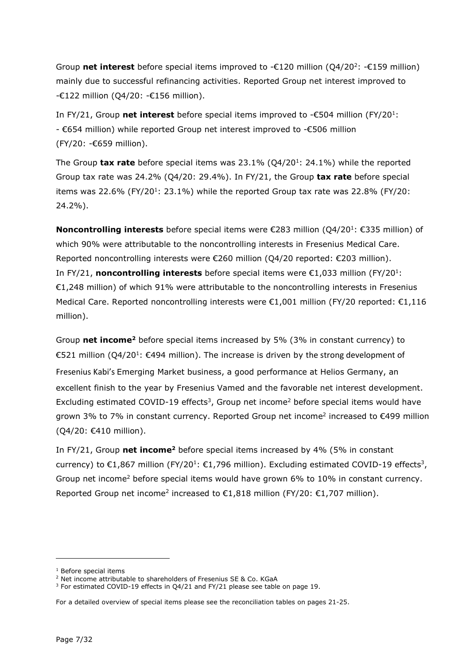Group net interest before special items improved to -€120 million (Q4/20<sup>2</sup>: -€159 million) mainly due to successful refinancing activities. Reported Group net interest improved to -€122 million (Q4/20: -€156 million).

In FY/21, Group **net interest** before special items improved to -€504 million (FY/20<sup>1</sup>: - €654 million) while reported Group net interest improved to -€506 million (FY/20: -€659 million).

The Group **tax rate** before special items was 23.1% (Q4/20<sup>1</sup>: 24.1%) while the reported Group tax rate was 24.2% (Q4/20: 29.4%). In FY/21, the Group **tax rate** before special items was 22.6% (FY/20<sup>1</sup>: 23.1%) while the reported Group tax rate was 22.8% (FY/20: 24.2%).

**Noncontrolling interests** before special items were €283 million (Q4/20<sup>1</sup>: €335 million) of which 90% were attributable to the noncontrolling interests in Fresenius Medical Care. Reported noncontrolling interests were €260 million (Q4/20 reported: €203 million). In FY/21, **noncontrolling interests** before special items were €1,033 million (FY/20<sup>1</sup>: €1,248 million) of which 91% were attributable to the noncontrolling interests in Fresenius Medical Care. Reported noncontrolling interests were €1,001 million (FY/20 reported: €1,116 million).

Group net income<sup>2</sup> before special items increased by 5% (3% in constant currency) to €521 million (Q4/20<sup>1</sup>: €494 million). The increase is driven by the strong development of Fresenius Kabi's Emerging Market business, a good performance at Helios Germany, an excellent finish to the year by Fresenius Vamed and the favorable net interest development. Excluding estimated COVID-19 effects<sup>3</sup>, Group net income<sup>2</sup> before special items would have grown 3% to 7% in constant currency. Reported Group net income<sup>2</sup> increased to €499 million (Q4/20: €410 million).

In FY/21, Group net income<sup>2</sup> before special items increased by 4% (5% in constant currency) to  $\epsilon$ 1,867 million (FY/20<sup>1</sup>:  $\epsilon$ 1,796 million). Excluding estimated COVID-19 effects<sup>3</sup>, Group net income<sup>2</sup> before special items would have grown 6% to 10% in constant currency. Reported Group net income<sup>2</sup> increased to  $\epsilon$ 1,818 million (FY/20:  $\epsilon$ 1,707 million).

<sup>1</sup> Before special items

<sup>2</sup> Net income attributable to shareholders of Fresenius SE & Co. KGaA

<sup>&</sup>lt;sup>3</sup> For estimated COVID-19 effects in Q4/21 and FY/21 please see table on page 19.

For a detailed overview of special items please see the reconciliation tables on pages 21-25.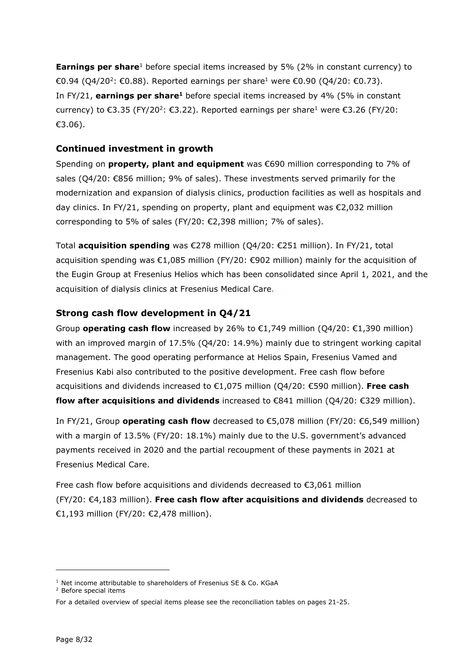**Earnings per share**<sup>1</sup> before special items increased by 5% (2% in constant currency) to €0.94 (Q4/20<sup>2</sup>: €0.88). Reported earnings per share<sup>1</sup> were €0.90 (Q4/20: €0.73). In FY/21, **earnings per share**<sup>1</sup> before special items increased by 4% (5% in constant currency) to €3.35 (FY/20<sup>2</sup>: €3.22). Reported earnings per share<sup>1</sup> were €3.26 (FY/20: €3.06).

#### **Continued investment in growth**

Spending on **property, plant and equipment** was €690 million corresponding to 7% of sales (Q4/20: €856 million; 9% of sales). These investments served primarily for the modernization and expansion of dialysis clinics, production facilities as well as hospitals and day clinics. In FY/21, spending on property, plant and equipment was €2,032 million corresponding to 5% of sales (FY/20:  $\epsilon$ 2.398 million: 7% of sales).

Total **acquisition spending** was €278 million (Q4/20: €251 million). In FY/21, total acquisition spending was €1,085 million (FY/20: €902 million) mainly for the acquisition of the Eugin Group at Fresenius Helios which has been consolidated since April 1, 2021, and the acquisition of dialysis clinics at Fresenius Medical Care.

#### **Strong cash flow development in Q4/21**

Group **operating cash flow** increased by 26% to  $\epsilon$ 1,749 million (Q4/20:  $\epsilon$ 1,390 million) with an improved margin of 17.5% (Q4/20: 14.9%) mainly due to stringent working capital management. The good operating performance at Helios Spain, Fresenius Vamed and Fresenius Kabi also contributed to the positive development. Free cash flow before acquisitions and dividends increased to €1,075 million (Q4/20: €590 million). **Free cash flow after acquisitions and dividends** increased to €841 million (Q4/20: €329 million).

In FY/21, Group **operating cash flow** decreased to €5,078 million (FY/20: €6,549 million) with a margin of 13.5% (FY/20: 18.1%) mainly due to the U.S. government's advanced payments received in 2020 and the partial recoupment of these payments in 2021 at Fresenius Medical Care.

Free cash flow before acquisitions and dividends decreased to €3,061 million (FY/20: €4,183 million). **Free cash flow after acquisitions and dividends** decreased to €1,193 million (FY/20: €2,478 million).

<sup>&</sup>lt;sup>1</sup> Net income attributable to shareholders of Fresenius SE & Co. KGaA

<sup>2</sup> Before special items

For a detailed overview of special items please see the reconciliation tables on pages 21-25.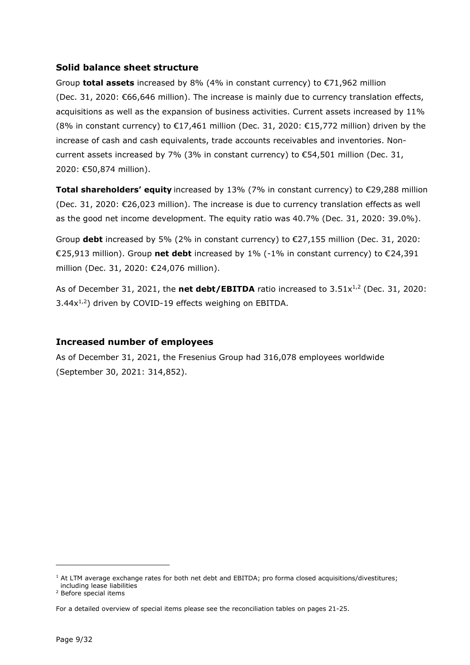#### **Solid balance sheet structure**

Group **total assets** increased by 8% (4% in constant currency) to €71,962 million (Dec. 31, 2020: €66,646 million). The increase is mainly due to currency translation effects, acquisitions as well as the expansion of business activities. Current assets increased by 11% (8% in constant currency) to  $\epsilon$ 17,461 million (Dec. 31, 2020:  $\epsilon$ 15,772 million) driven by the increase of cash and cash equivalents, trade accounts receivables and inventories. Noncurrent assets increased by 7% (3% in constant currency) to  $\epsilon$ 54,501 million (Dec. 31, 2020: €50,874 million).

**Total shareholders' equity** increased by 13% (7% in constant currency) to €29,288 million (Dec. 31, 2020: €26,023 million). The increase is due to currency translation effects as well as the good net income development. The equity ratio was 40.7% (Dec. 31, 2020: 39.0%).

Group **debt** increased by 5% (2% in constant currency) to €27,155 million (Dec. 31, 2020: €25,913 million). Group **net debt** increased by 1% (-1% in constant currency) to €24,391 million (Dec. 31, 2020: €24,076 million).

As of December 31, 2021, the **net debt/EBITDA** ratio increased to 3.51x<sup>1,2</sup> (Dec. 31, 2020:  $3.44x^{1,2}$ ) driven by COVID-19 effects weighing on EBITDA.

### **Increased number of employees**

As of December 31, 2021, the Fresenius Group had 316,078 employees worldwide (September 30, 2021: 314,852).

<sup>&</sup>lt;sup>1</sup> At LTM average exchange rates for both net debt and EBITDA; pro forma closed acquisitions/divestitures; including lease liabilities

<sup>2</sup> Before special items

For a detailed overview of special items please see the reconciliation tables on pages 21-25.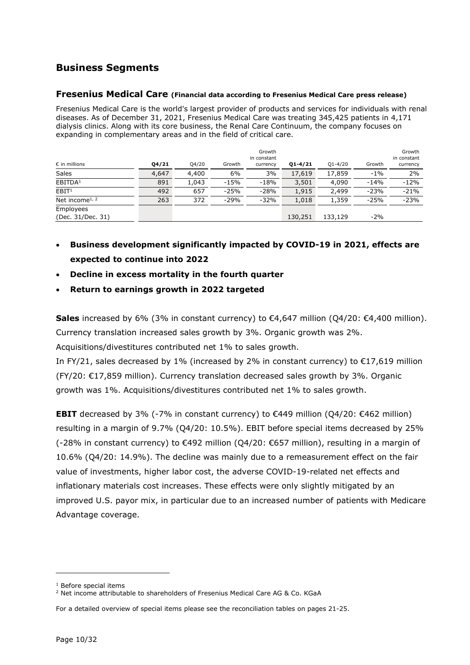# **Business Segments**

#### **Fresenius Medical Care (Financial data according to Fresenius Medical Care press release)**

Fresenius Medical Care is the world's largest provider of products and services for individuals with renal diseases. As of December 31, 2021, Fresenius Medical Care was treating 345,425 patients in 4,171 dialysis clinics. Along with its core business, the Renal Care Continuum, the company focuses on expanding in complementary areas and in the field of critical care.

| $\epsilon$ in millions         | Q4/21 | Q4/20 | Growth | Growth<br>in constant<br>currency | $Q1 - 4/21$ | $Q1 - 4/20$ | Growth | Growth<br>in constant<br>currency |
|--------------------------------|-------|-------|--------|-----------------------------------|-------------|-------------|--------|-----------------------------------|
| Sales                          | 4,647 | 4,400 | 6%     | 3%                                | 17,619      | 17,859      | $-1%$  | 2%                                |
| EBITDA <sup>1</sup>            | 891   | 1,043 | $-15%$ | $-18%$                            | 3,501       | 4,090       | $-14%$ | $-12%$                            |
| EBIT <sup>1</sup>              | 492   | 657   | $-25%$ | $-28%$                            | 1,915       | 2,499       | $-23%$ | $-21%$                            |
| Net income <sup>1, 2</sup>     | 263   | 372   | $-29%$ | $-32%$                            | 1,018       | 1,359       | $-25%$ | $-23%$                            |
| Employees<br>(Dec. 31/Dec. 31) |       |       |        |                                   | 130,251     | 133,129     | $-2%$  |                                   |

- **Business development significantly impacted by COVID-19 in 2021, effects are expected to continue into 2022**
- **Decline in excess mortality in the fourth quarter**
- **Return to earnings growth in 2022 targeted**

**Sales** increased by 6% (3% in constant currency) to €4,647 million (Q4/20: €4,400 million). Currency translation increased sales growth by 3%. Organic growth was 2%.

Acquisitions/divestitures contributed net 1% to sales growth.

In FY/21, sales decreased by 1% (increased by 2% in constant currency) to  $\epsilon$ 17,619 million (FY/20: €17,859 million). Currency translation decreased sales growth by 3%. Organic growth was 1%. Acquisitions/divestitures contributed net 1% to sales growth.

**EBIT** decreased by 3% (-7% in constant currency) to €449 million (Q4/20: €462 million) resulting in a margin of 9.7% (Q4/20: 10.5%). EBIT before special items decreased by 25% (-28% in constant currency) to €492 million (Q4/20: €657 million), resulting in a margin of 10.6% (Q4/20: 14.9%). The decline was mainly due to a remeasurement effect on the fair value of investments, higher labor cost, the adverse COVID-19-related net effects and inflationary materials cost increases. These effects were only slightly mitigated by an improved U.S. payor mix, in particular due to an increased number of patients with Medicare Advantage coverage.

<sup>1</sup> Before special items

<sup>&</sup>lt;sup>2</sup> Net income attributable to shareholders of Fresenius Medical Care AG & Co. KGaA

For a detailed overview of special items please see the reconciliation tables on pages 21-25.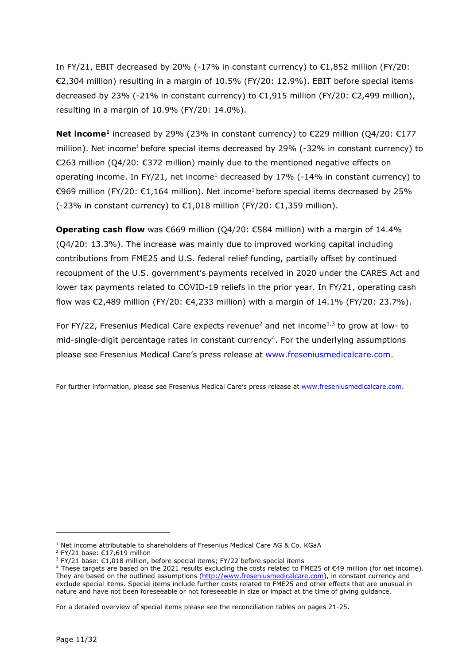In FY/21, EBIT decreased by 20% (-17% in constant currency) to  $\epsilon$ 1,852 million (FY/20: €2,304 million) resulting in a margin of 10.5% (FY/20: 12.9%). EBIT before special items decreased by 23% (-21% in constant currency) to €1,915 million (FY/20: €2,499 million), resulting in a margin of 10.9% (FY/20: 14.0%).

**Net income<sup>1</sup>** increased by 29% (23% in constant currency) to €229 million (Q4/20: €177 million). Net income<sup>1</sup> before special items decreased by 29%  $(-32%$  in constant currency) to €263 million (Q4/20: €372 million) mainly due to the mentioned negative effects on operating income. In FY/21, net income<sup>1</sup> decreased by 17% (-14% in constant currency) to €969 million (FY/20: €1,164 million). Net income<sup>1</sup> before special items decreased by 25% (-23% in constant currency) to  $\epsilon$ 1,018 million (FY/20:  $\epsilon$ 1,359 million).

**Operating cash flow** was €669 million (Q4/20: €584 million) with a margin of 14.4% (Q4/20: 13.3%). The increase was mainly due to improved working capital including contributions from FME25 and U.S. federal relief funding, partially offset by continued recoupment of the U.S. government's payments received in 2020 under the CARES Act and lower tax payments related to COVID-19 reliefs in the prior year. In FY/21, operating cash flow was €2,489 million (FY/20: €4,233 million) with a margin of 14.1% (FY/20: 23.7%).

For FY/22, Fresenius Medical Care expects revenue<sup>2</sup> and net income<sup>1,3</sup> to grow at low- to mid-single-digit percentage rates in constant currency<sup>4</sup>. For the underlying assumptions please see Fresenius Medical Care's press release at [www.freseniusmedicalcare.com.](http://www.freseniusmedicalcare.com/)

For further information, please see Fresenius Medical Care's press release at [www.freseniusmedicalcare.com.](http://www.freseniusmedicalcare.com/)

<sup>&</sup>lt;sup>1</sup> Net income attributable to shareholders of Fresenius Medical Care AG & Co. KGaA

<sup>&</sup>lt;sup>2</sup> FY/21 base: €17,619 million

 $3$  FY/21 base:  $\epsilon$ 1,018 million, before special items; FY/22 before special items

<sup>4</sup> These targets are based on the 2021 results excluding the costs related to FME25 of €49 million (for net income). They are based on the outlined assumptions [\(http://www.freseniusmedicalcare.com\)](http://www.freseniusmedicalcare.com/), in constant currency and exclude special items. Special items include further costs related to FME25 and other effects that are unusual in nature and have not been foreseeable or not foreseeable in size or impact at the time of giving guidance.

For a detailed overview of special items please see the reconciliation tables on pages 21-25.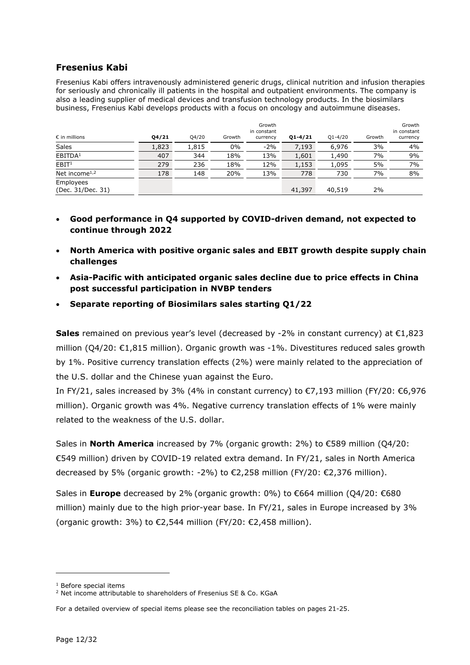#### **Fresenius Kabi**

Fresenius Kabi offers intravenously administered generic drugs, clinical nutrition and infusion therapies for seriously and chronically ill patients in the hospital and outpatient environments. The company is also a leading supplier of medical devices and transfusion technology products. In the biosimilars business, Fresenius Kabi develops products with a focus on oncology and autoimmune diseases..

| $\epsilon$ in millions         | Q4/21 | Q4/20 | Growth | Growth<br>in constant<br>currency | $Q1 - 4/21$ | $Q1 - 4/20$ | Growth | Growth<br>in constant<br>currency |
|--------------------------------|-------|-------|--------|-----------------------------------|-------------|-------------|--------|-----------------------------------|
| Sales                          | 1,823 | 1,815 | 0%     | $-2%$                             | 7,193       | 6,976       | 3%     | 4%                                |
| EBITDA <sup>1</sup>            | 407   | 344   | 18%    | 13%                               | 1,601       | 1,490       | 7%     | 9%                                |
| EBIT <sup>1</sup>              | 279   | 236   | 18%    | 12%                               | 1,153       | 1,095       | 5%     | 7%                                |
| Net income $1,2$               | 178   | 148   | 20%    | 13%                               | 778         | 730         | 7%     | 8%                                |
| Employees<br>(Dec. 31/Dec. 31) |       |       |        |                                   | 41,397      | 40,519      | 2%     |                                   |

- **Good performance in Q4 supported by COVID-driven demand, not expected to continue through 2022**
- **North America with positive organic sales and EBIT growth despite supply chain challenges**
- **Asia-Pacific with anticipated organic sales decline due to price effects in China post successful participation in NVBP tenders**
- **Separate reporting of Biosimilars sales starting Q1/22**

**Sales** remained on previous year's level (decreased by -2% in constant currency) at €1,823 million ( $Q4/20$ :  $\epsilon$ 1,815 million). Organic growth was -1%. Divestitures reduced sales growth by 1%. Positive currency translation effects (2%) were mainly related to the appreciation of the U.S. dollar and the Chinese yuan against the Euro.

In FY/21, sales increased by 3% (4% in constant currency) to  $\epsilon$ 7,193 million (FY/20:  $\epsilon$ 6,976 million). Organic growth was 4%. Negative currency translation effects of 1% were mainly related to the weakness of the U.S. dollar.

Sales in **North America** increased by 7% (organic growth: 2%) to €589 million (Q4/20: €549 million) driven by COVID-19 related extra demand. In FY/21, sales in North America decreased by 5% (organic growth: -2%) to €2,258 million (FY/20: €2,376 million).

Sales in **Europe** decreased by 2% (organic growth: 0%) to €664 million (Q4/20: €680 million) mainly due to the high prior-year base. In FY/21, sales in Europe increased by 3% (organic growth: 3%) to  $\epsilon$ 2,544 million (FY/20:  $\epsilon$ 2,458 million).

<sup>1</sup> Before special items

<sup>&</sup>lt;sup>2</sup> Net income attributable to shareholders of Fresenius SE & Co. KGaA

For a detailed overview of special items please see the reconciliation tables on pages 21-25.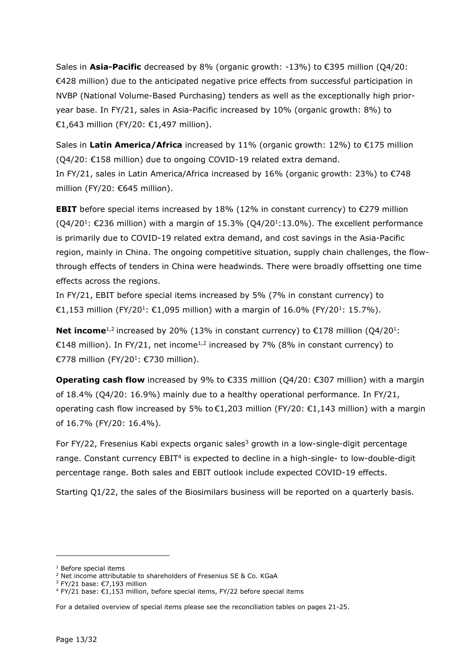Sales in **Asia-Pacific** decreased by 8% (organic growth: -13%) to €395 million (Q4/20: €428 million) due to the anticipated negative price effects from successful participation in NVBP (National Volume-Based Purchasing) tenders as well as the exceptionally high prioryear base. In FY/21, sales in Asia-Pacific increased by 10% (organic growth: 8%) to €1,643 million (FY/20: €1,497 million).

Sales in **Latin America/Africa** increased by 11% (organic growth: 12%) to €175 million (Q4/20: €158 million) due to ongoing COVID-19 related extra demand. In FY/21, sales in Latin America/Africa increased by 16% (organic growth: 23%) to €748 million (FY/20: €645 million).

**EBIT** before special items increased by  $18\%$  ( $12\%$  in constant currency) to  $\epsilon$ 279 million  $(Q4/20^1: \epsilon 236$  million) with a margin of 15.3%  $(Q4/20^1: 13.0\%)$ . The excellent performance is primarily due to COVID-19 related extra demand, and cost savings in the Asia-Pacific region, mainly in China. The ongoing competitive situation, supply chain challenges, the flowthrough effects of tenders in China were headwinds. There were broadly offsetting one time effects across the regions.

In FY/21, EBIT before special items increased by 5% (7% in constant currency) to €1,153 million (FY/20<sup>1</sup>: €1,095 million) with a margin of 16.0% (FY/20<sup>1</sup>: 15.7%).

**Net income**<sup>1,2</sup> increased by 20% (13% in constant currency) to €178 million (Q4/20<sup>1</sup>: €148 million). In FY/21, net income<sup>1,2</sup> increased by 7% (8% in constant currency) to €778 million (FY/20<sup>1</sup>: €730 million).

**Operating cash flow** increased by 9% to €335 million (Q4/20: €307 million) with a margin of 18.4% (Q4/20: 16.9%) mainly due to a healthy operational performance. In FY/21, operating cash flow increased by 5% to  $\epsilon$ 1,203 million (FY/20:  $\epsilon$ 1,143 million) with a margin of 16.7% (FY/20: 16.4%).

For FY/22, Fresenius Kabi expects organic sales<sup>3</sup> growth in a low-single-digit percentage range. Constant currency EBIT<sup>4</sup> is expected to decline in a high-single- to low-double-digit percentage range. Both sales and EBIT outlook include expected COVID-19 effects.

Starting Q1/22, the sales of the Biosimilars business will be reported on a quarterly basis.

<sup>1</sup> Before special items

<sup>&</sup>lt;sup>2</sup> Net income attributable to shareholders of Fresenius SE & Co. KGaA

 $3$  FY/21 base:  $C$ 7,193 million

 $4$  FY/21 base:  $\epsilon$ 1,153 million, before special items, FY/22 before special items

For a detailed overview of special items please see the reconciliation tables on pages 21-25.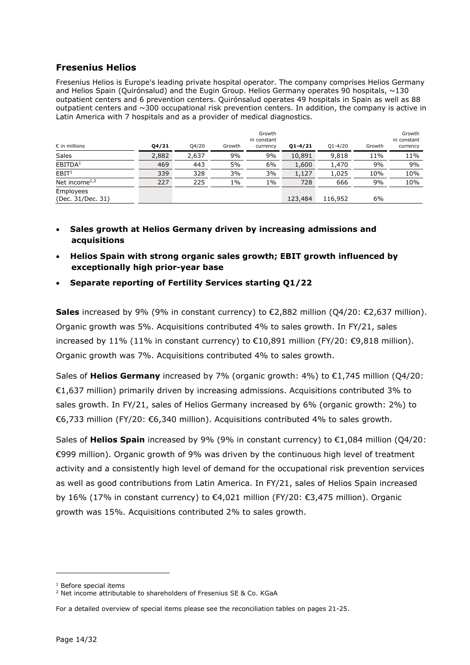#### **Fresenius Helios**

Fresenius Helios is Europe's leading private hospital operator. The company comprises Helios Germany and Helios Spain (Quirónsalud) and the Eugin Group. Helios Germany operates 90 hospitals, ~130 outpatient centers and 6 prevention centers. Quirónsalud operates 49 hospitals in Spain as well as 88 outpatient centers and ~300 occupational risk prevention centers. In addition, the company is active in Latin America with 7 hospitals and as a provider of medical diagnostics.

| $\epsilon$ in millions                 | Q4/21 | Q4/20 | Growth | Growth<br>in constant<br>currency | $Q1 - 4/21$ | $Q1 - 4/20$ | Growth | Growth<br>in constant<br>currency |
|----------------------------------------|-------|-------|--------|-----------------------------------|-------------|-------------|--------|-----------------------------------|
| Sales                                  | 2,882 | 2,637 | 9%     | 9%                                | 10,891      | 9,818       | 11%    | 11%                               |
| EBITDA <sup>1</sup>                    | 469   | 443   | 5%     | 6%                                | 1,600       | 1,470       | 9%     | 9%                                |
| EBIT <sup>1</sup>                      | 339   | 328   | 3%     | 3%                                | 1,127       | 1,025       | 10%    | 10%                               |
| Net income <sup><math>1,2</math></sup> | 227   | 225   | 1%     | 1%                                | 728         | 666         | 9%     | 10%                               |
| Employees<br>(Dec. 31/Dec. 31)         |       |       |        |                                   | 123,484     | 116,952     | 6%     |                                   |

- **Sales growth at Helios Germany driven by increasing admissions and acquisitions**
- **Helios Spain with strong organic sales growth; EBIT growth influenced by exceptionally high prior-year base**
- **Separate reporting of Fertility Services starting Q1/22**

**Sales** increased by 9% (9% in constant currency) to €2,882 million (Q4/20: €2,637 million). Organic growth was 5%. Acquisitions contributed 4% to sales growth. In FY/21, sales increased by 11% (11% in constant currency) to €10,891 million (FY/20: €9,818 million). Organic growth was 7%. Acquisitions contributed 4% to sales growth.

Sales of **Helios Germany** increased by 7% (organic growth: 4%) to €1,745 million (Q4/20: €1,637 million) primarily driven by increasing admissions. Acquisitions contributed 3% to sales growth. In FY/21, sales of Helios Germany increased by 6% (organic growth: 2%) to €6,733 million (FY/20: €6,340 million). Acquisitions contributed 4% to sales growth.

Sales of **Helios Spain** increased by 9% (9% in constant currency) to €1,084 million (Q4/20: €999 million). Organic growth of 9% was driven by the continuous high level of treatment activity and a consistently high level of demand for the occupational risk prevention services as well as good contributions from Latin America. In FY/21, sales of Helios Spain increased by 16% (17% in constant currency) to €4,021 million (FY/20: €3,475 million). Organic growth was 15%. Acquisitions contributed 2% to sales growth.

<sup>1</sup> Before special items

<sup>&</sup>lt;sup>2</sup> Net income attributable to shareholders of Fresenius SE & Co. KGaA

For a detailed overview of special items please see the reconciliation tables on pages 21-25.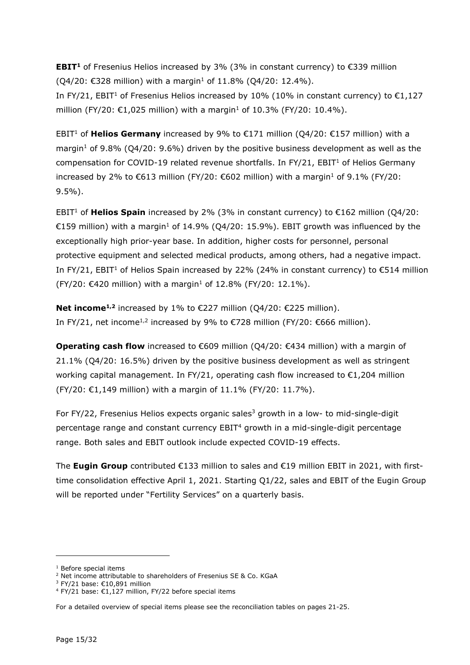**EBIT<sup>1</sup>** of Fresenius Helios increased by 3% (3% in constant currency) to €339 million  $(Q4/20: €328$  million) with a margin<sup>1</sup> of 11.8%  $(Q4/20: 12.4%$ ).

In FY/21, EBIT<sup>1</sup> of Fresenius Helios increased by 10% (10% in constant currency) to  $\epsilon$ 1,127 million (FY/20: €1,025 million) with a margin<sup>1</sup> of 10.3% (FY/20: 10.4%).

EBIT<sup>1</sup> of **Helios Germany** increased by 9% to €171 million (Q4/20: €157 million) with a margin<sup>1</sup> of 9.8% (Q4/20: 9.6%) driven by the positive business development as well as the compensation for COVID-19 related revenue shortfalls. In FY/21,  $EBIT<sup>1</sup>$  of Helios Germany increased by 2% to €613 million (FY/20: €602 million) with a margin<sup>1</sup> of 9.1% (FY/20: 9.5%).

EBIT<sup>1</sup> of **Helios Spain** increased by 2% (3% in constant currency) to €162 million (Q4/20: €159 million) with a margin<sup>1</sup> of 14.9% (Q4/20: 15.9%). EBIT growth was influenced by the exceptionally high prior-year base. In addition, higher costs for personnel, personal protective equipment and selected medical products, among others, had a negative impact. In FY/21, EBIT<sup>1</sup> of Helios Spain increased by 22% (24% in constant currency) to  $\epsilon$ 514 million  $(FY/20: €420$  million) with a margin<sup>1</sup> of 12.8% (FY/20: 12.1%).

**Net income1,2** increased by 1% to €227 million (Q4/20: €225 million). In FY/21, net income<sup>1,2</sup> increased by 9% to €728 million (FY/20: €666 million).

**Operating cash flow** increased to €609 million (Q4/20: €434 million) with a margin of 21.1% (Q4/20: 16.5%) driven by the positive business development as well as stringent working capital management. In FY/21, operating cash flow increased to  $\epsilon$ 1,204 million (FY/20: €1,149 million) with a margin of 11.1% (FY/20: 11.7%).

For  $FY/22$ , Fresenius Helios expects organic sales<sup>3</sup> growth in a low- to mid-single-digit percentage range and constant currency EBIT<sup>4</sup> growth in a mid-single-digit percentage range. Both sales and EBIT outlook include expected COVID-19 effects.

The **Eugin Group** contributed €133 million to sales and €19 million EBIT in 2021, with firsttime consolidation effective April 1, 2021. Starting Q1/22, sales and EBIT of the Eugin Group will be reported under "Fertility Services" on a quarterly basis.

<sup>1</sup> Before special items

<sup>&</sup>lt;sup>2</sup> Net income attributable to shareholders of Fresenius SE & Co. KGaA

<sup>&</sup>lt;sup>3</sup> FY/21 base: €10,891 million

<sup>4</sup> FY/21 base: €1,127 million, FY/22 before special items

For a detailed overview of special items please see the reconciliation tables on pages 21-25.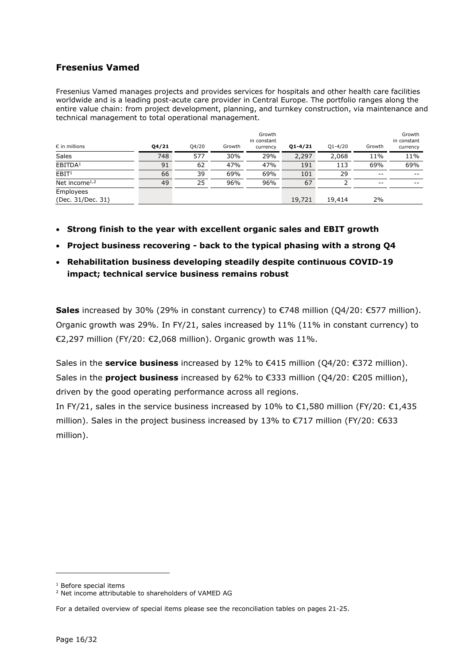### **Fresenius Vamed**

Fresenius Vamed manages projects and provides services for hospitals and other health care facilities worldwide and is a leading post-acute care provider in Central Europe. The portfolio ranges along the entire value chain: from project development, planning, and turnkey construction, via maintenance and technical management to total operational management..

| $\epsilon$ in millions                 | Q4/21 | Q4/20 | Growth | Growth<br>in constant<br>currency | $Q1 - 4/21$ | $Q1 - 4/20$ | Growth | Growth<br>in constant<br>currency |
|----------------------------------------|-------|-------|--------|-----------------------------------|-------------|-------------|--------|-----------------------------------|
| <b>Sales</b>                           | 748   | 577   | 30%    | 29%                               | 2,297       | 2,068       | 11%    | 11%                               |
| EBITDA <sup>1</sup>                    | 91    | 62    | 47%    | 47%                               | 191         | 113         | 69%    | 69%                               |
| EBIT <sup>1</sup>                      | 66    | 39    | 69%    | 69%                               | 101         | 29          | $- -$  | $- -$                             |
| Net income <sup><math>1,2</math></sup> | 49    | 25    | 96%    | 96%                               | 67          |             | $- -$  | $- -$                             |
| Employees<br>(Dec. 31/Dec. 31)         |       |       |        |                                   | 19,721      | 19,414      | 2%     |                                   |

- **Strong finish to the year with excellent organic sales and EBIT growth**
- **Project business recovering back to the typical phasing with a strong Q4**
- **Rehabilitation business developing steadily despite continuous COVID-19 impact; technical service business remains robust**

**Sales** increased by 30% (29% in constant currency) to €748 million (Q4/20: €577 million). Organic growth was 29%. In FY/21, sales increased by 11% (11% in constant currency) to €2,297 million (FY/20: €2,068 million). Organic growth was 11%.

Sales in the **service business** increased by 12% to €415 million (Q4/20: €372 million). Sales in the **project business** increased by 62% to €333 million (Q4/20: €205 million), driven by the good operating performance across all regions.

In FY/21, sales in the service business increased by 10% to €1,580 million (FY/20: €1,435 million). Sales in the project business increased by 13% to  $\epsilon$ 717 million (FY/20:  $\epsilon$ 633 million).

<sup>1</sup> Before special items

<sup>2</sup> Net income attributable to shareholders of VAMED AG

For a detailed overview of special items please see the reconciliation tables on pages 21-25.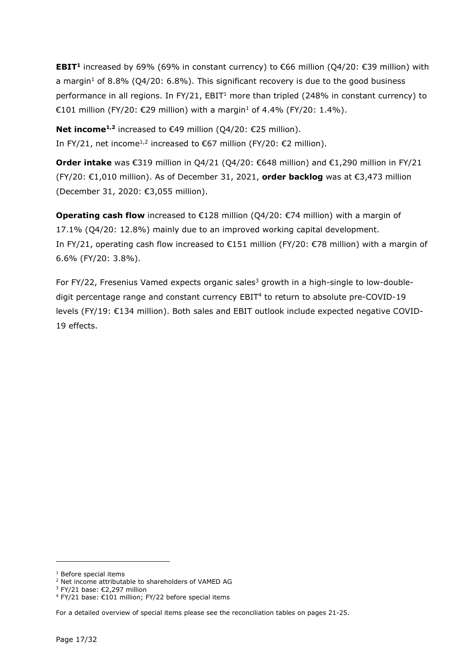**EBIT<sup>1</sup>** increased by 69% (69% in constant currency) to €66 million (Q4/20: €39 million) with a margin<sup>1</sup> of 8.8% (Q4/20: 6.8%). This significant recovery is due to the good business performance in all regions. In  $FY/21$ ,  $EBIT<sup>1</sup>$  more than tripled (248% in constant currency) to €101 million (FY/20: €29 million) with a margin<sup>1</sup> of 4.4% (FY/20: 1.4%).

**Net income1,2** increased to €49 million (Q4/20: €25 million). In FY/21, net income<sup>1,2</sup> increased to €67 million (FY/20: €2 million).

**Order intake** was €319 million in Q4/21 (Q4/20: €648 million) and €1,290 million in FY/21 (FY/20: €1,010 million). As of December 31, 2021, **order backlog** was at €3,473 million (December 31, 2020: €3,055 million).

**Operating cash flow** increased to €128 million (Q4/20: €74 million) with a margin of 17.1% (Q4/20: 12.8%) mainly due to an improved working capital development. In FY/21, operating cash flow increased to €151 million (FY/20: €78 million) with a margin of 6.6% (FY/20: 3.8%).

For FY/22, Fresenius Vamed expects organic sales<sup>3</sup> growth in a high-single to low-doubledigit percentage range and constant currency EBIT<sup>4</sup> to return to absolute pre-COVID-19 levels (FY/19: €134 million). Both sales and EBIT outlook include expected negative COVID-19 effects.

<sup>&</sup>lt;sup>1</sup> Before special items

<sup>2</sup> Net income attributable to shareholders of VAMED AG

<sup>&</sup>lt;sup>3</sup> FY/21 base: €2,297 million

<sup>4</sup> FY/21 base: €101 million; FY/22 before special items

For a detailed overview of special items please see the reconciliation tables on pages 21-25.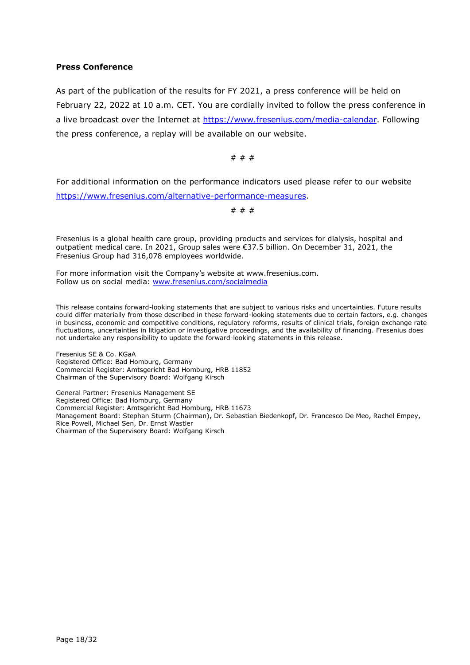#### **Press Conference**

As part of the publication of the results for FY 2021, a press conference will be held on February 22, 2022 at 10 a.m. CET. You are cordially invited to follow the press conference in a live broadcast over the Internet at [https://www.fresenius.com/media-calendar.](https://www.fresenius.com/media-calendar) Following the press conference, a replay will be available on our website.

# # #

For additional information on the performance indicators used please refer to our website [https://www.fresenius.com/alternative-performance-measures.](https://www.fresenius.com/alternative-performance-measures)

# # #

Fresenius is a global health care group, providing products and services for dialysis, hospital and outpatient medical care. In 2021, Group sales were €37.5 billion. On December 31, 2021, the Fresenius Group had 316,078 employees worldwide.

For more information visit the Company's website at [www.fresenius.com.](http://www.fresenius.com/) Follow us on social media: [www.fresenius.com/socialmedia](http://www.fresenius.com/socialmedia)

This release contains forward-looking statements that are subject to various risks and uncertainties. Future results could differ materially from those described in these forward-looking statements due to certain factors, e.g. changes in business, economic and competitive conditions, regulatory reforms, results of clinical trials, foreign exchange rate fluctuations, uncertainties in litigation or investigative proceedings, and the availability of financing. Fresenius does not undertake any responsibility to update the forward-looking statements in this release.

Fresenius SE & Co. KGaA Registered Office: Bad Homburg, Germany Commercial Register: Amtsgericht Bad Homburg, HRB 11852 Chairman of the Supervisory Board: Wolfgang Kirsch

General Partner: Fresenius Management SE Registered Office: Bad Homburg, Germany Commercial Register: Amtsgericht Bad Homburg, HRB 11673 Management Board: Stephan Sturm (Chairman), Dr. Sebastian Biedenkopf, Dr. Francesco De Meo, Rachel Empey, Rice Powell, Michael Sen, Dr. Ernst Wastler Chairman of the Supervisory Board: Wolfgang Kirsch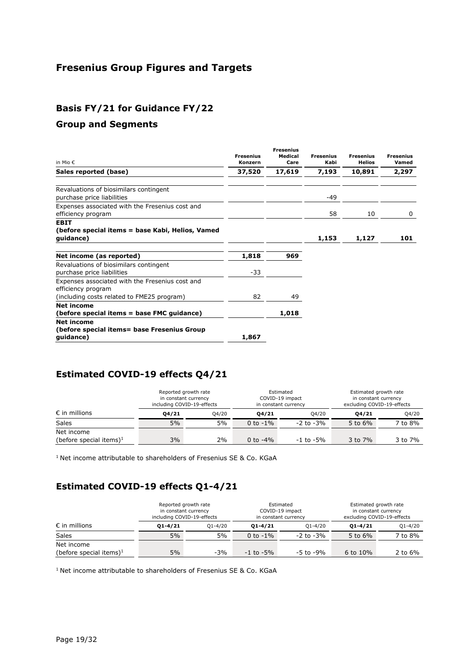# **Fresenius Group Figures and Targets**

## **Basis FY/21 for Guidance FY/22**

#### **Group and Segments**

| in Mio €                                                                      | <b>Fresenius</b><br>Konzern | <b>Fresenius</b><br><b>Medical</b><br>Care | <b>Fresenius</b><br>Kabi | <b>Fresenius</b><br><b>Helios</b> | <b>Fresenius</b><br>Vamed |
|-------------------------------------------------------------------------------|-----------------------------|--------------------------------------------|--------------------------|-----------------------------------|---------------------------|
| Sales reported (base)                                                         | 37,520                      | 17,619                                     | 7,193                    | 10,891                            | 2,297                     |
| Revaluations of biosimilars contingent<br>purchase price liabilities          |                             |                                            | $-49$                    |                                   |                           |
| Expenses associated with the Fresenius cost and<br>efficiency program         |                             |                                            | 58                       | 10                                | 0                         |
| <b>EBIT</b><br>(before special items = base Kabi, Helios, Vamed<br>guidance)  |                             |                                            | 1,153                    | 1,127                             | 101                       |
| Net income (as reported)                                                      | 1,818                       | 969                                        |                          |                                   |                           |
| Revaluations of biosimilars contingent<br>purchase price liabilities          | $-33$                       |                                            |                          |                                   |                           |
| Expenses associated with the Fresenius cost and<br>efficiency program         |                             |                                            |                          |                                   |                           |
| (including costs related to FME25 program)<br>Net income                      | 82                          | 49                                         |                          |                                   |                           |
| (before special items = base FMC guidance)                                    |                             | 1,018                                      |                          |                                   |                           |
| <b>Net income</b><br>(before special items= base Fresenius Group<br>quidance) | 1,867                       |                                            |                          |                                   |                           |

## **Estimated COVID-19 effects Q4/21**

|                                          | Reported growth rate<br>in constant currency<br>including COVID-19-effects |       |             | Estimated<br>COVID-19 impact<br>in constant currency | Estimated growth rate<br>in constant currency<br>excluding COVID-19-effects |         |
|------------------------------------------|----------------------------------------------------------------------------|-------|-------------|------------------------------------------------------|-----------------------------------------------------------------------------|---------|
| $\epsilon$ in millions                   | 04/21                                                                      | 04/20 | 04/21       | 04/20                                                | 04/21                                                                       | Q4/20   |
| Sales                                    | 5%                                                                         | 5%    | 0 to $-1\%$ | $-2$ to $-3%$                                        | 5 to $6\%$                                                                  | 7 to 8% |
| Net income<br>(before special items) $1$ | 3%                                                                         | 2%    | 0 to $-4\%$ | $-1$ to $-5\%$                                       | 3 to 7%                                                                     | 3 to 7% |

<sup>1</sup> Net income attributable to shareholders of Fresenius SE & Co. KGaA

## **Estimated COVID-19 effects Q1-4/21**

|                                     | Reported growth rate<br>in constant currency<br>including COVID-19-effects |             | Estimated<br>COVID-19 impact<br>in constant currency |                | Estimated growth rate<br>in constant currency<br>excluding COVID-19-effects |             |
|-------------------------------------|----------------------------------------------------------------------------|-------------|------------------------------------------------------|----------------|-----------------------------------------------------------------------------|-------------|
| $\epsilon$ in millions              | $01 - 4/21$                                                                | $O1 - 4/20$ | $01 - 4/21$                                          | $O1 - 4/20$    | $01 - 4/21$                                                                 | $Q1 - 4/20$ |
| <b>Sales</b>                        | 5%                                                                         | 5%          | 0 to $-1\%$                                          | $-2$ to $-3\%$ | 5 to $6\%$                                                                  | 7 to 8%     |
| Net income                          |                                                                            |             |                                                      |                |                                                                             |             |
| (before special items) <sup>1</sup> | 5%                                                                         | $-3%$       | $-1$ to $-5\%$                                       | -5 to -9%      | 6 to $10\%$                                                                 | 2 to $6\%$  |

 $1$  Net income attributable to shareholders of Fresenius SE & Co. KGaA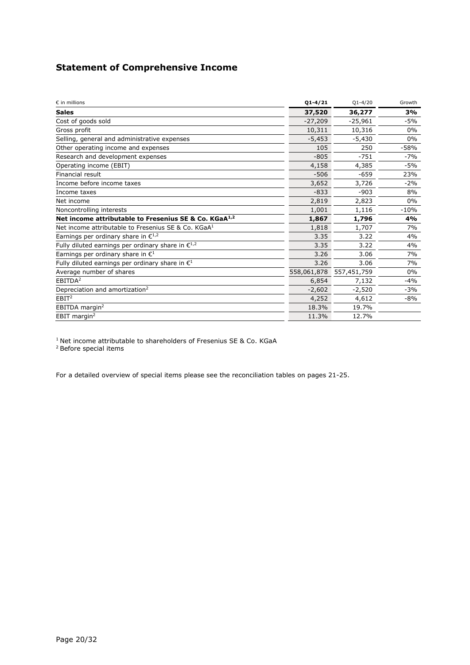## **Statement of Comprehensive Income**

| $\varepsilon$ in millions                                         | $01 - 4/21$ | $Q1 - 4/20$ | Growth |
|-------------------------------------------------------------------|-------------|-------------|--------|
| <b>Sales</b>                                                      | 37,520      | 36,277      | 3%     |
| Cost of goods sold                                                | $-27,209$   | $-25,961$   | $-5%$  |
| Gross profit                                                      | 10,311      | 10,316      | $0\%$  |
| Selling, general and administrative expenses                      | $-5.453$    | $-5,430$    | $0\%$  |
| Other operating income and expenses                               | 105         | 250         | $-58%$ |
| Research and development expenses                                 | $-805$      | $-751$      | $-7%$  |
| Operating income (EBIT)                                           | 4,158       | 4,385       | $-5%$  |
| Financial result                                                  | $-506$      | $-659$      | 23%    |
| Income before income taxes                                        | 3,652       | 3,726       | $-2%$  |
| Income taxes                                                      | $-833$      | $-903$      | 8%     |
| Net income                                                        | 2,819       | 2,823       | $0\%$  |
| Noncontrolling interests                                          | 1,001       | 1,116       | $-10%$ |
| Net income attributable to Fresenius SE & Co. KGaA <sup>1,2</sup> | 1,867       | 1,796       | 4%     |
| Net income attributable to Fresenius SE & Co. KGaA <sup>1</sup>   | 1,818       | 1,707       | 7%     |
| Earnings per ordinary share in $\epsilon^{1,2}$                   | 3.35        | 3.22        | 4%     |
| Fully diluted earnings per ordinary share in $\epsilon^{1,2}$     | 3.35        | 3.22        | 4%     |
| Earnings per ordinary share in $\mathbb{C}^1$                     | 3.26        | 3.06        | 7%     |
| Fully diluted earnings per ordinary share in $\mathbf{E}^1$       | 3.26        | 3.06        | 7%     |
| Average number of shares                                          | 558,061,878 | 557,451,759 | $0\%$  |
| EBITDA <sup>2</sup>                                               | 6,854       | 7,132       | $-4%$  |
| Depreciation and amortization <sup>2</sup>                        | $-2,602$    | $-2,520$    | $-3%$  |
| EBIT <sup>2</sup>                                                 | 4,252       | 4,612       | $-8%$  |
| EBITDA margin <sup>2</sup>                                        | 18.3%       | 19.7%       |        |
| EBIT margin <sup>2</sup>                                          | 11.3%       | 12.7%       |        |

 $1$  Net income attributable to shareholders of Fresenius SE & Co. KGaA

<sup>2</sup> Before special items

For a detailed overview of special items please see the reconciliation tables on pages 21-25.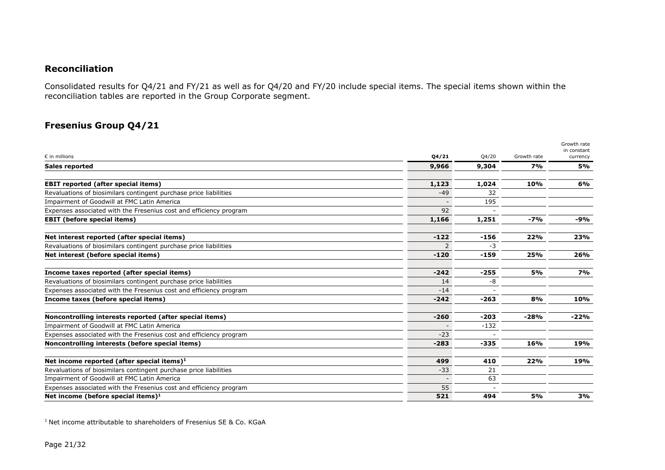### **Reconciliation**

Consolidated results for Q4/21 and FY/21 as well as for Q4/20 and FY/20 include special items. The special items shown within the reconciliation tables are reported in the Group Corporate segment.

## **Fresenius Group Q4/21**

|                                                                    |               |        |             | Growth rate<br>in constant |
|--------------------------------------------------------------------|---------------|--------|-------------|----------------------------|
| $\varepsilon$ in millions                                          | Q4/21         | Q4/20  | Growth rate | currency                   |
| <b>Sales reported</b>                                              | 9,966         | 9,304  | 7%          | 5%                         |
| <b>EBIT reported (after special items)</b>                         | 1,123         | 1,024  | 10%         | 6%                         |
| Revaluations of biosimilars contingent purchase price liabilities  | $-49$         | 32     |             |                            |
| Impairment of Goodwill at FMC Latin America                        |               | 195    |             |                            |
| Expenses associated with the Fresenius cost and efficiency program | 92            |        |             |                            |
| <b>EBIT</b> (before special items)                                 | 1,166         | 1,251  | $-7%$       | -9%                        |
| Net interest reported (after special items)                        | $-122$        | $-156$ | 22%         | 23%                        |
| Revaluations of biosimilars contingent purchase price liabilities  | $\mathcal{P}$ | $-3$   |             |                            |
| Net interest (before special items)                                | $-120$        | $-159$ | 25%         | 26%                        |
| Income taxes reported (after special items)                        | $-242$        | $-255$ | 5%          | 7%                         |
| Revaluations of biosimilars contingent purchase price liabilities  | 14            | -8     |             |                            |
| Expenses associated with the Fresenius cost and efficiency program | $-14$         |        |             |                            |
| Income taxes (before special items)                                | $-242$        | $-263$ | 8%          | 10%                        |
| Noncontrolling interests reported (after special items)            | $-260$        | -203   | $-28%$      | $-22%$                     |
| Impairment of Goodwill at FMC Latin America                        |               | $-132$ |             |                            |
| Expenses associated with the Fresenius cost and efficiency program | $-23$         |        |             |                            |
| Noncontrolling interests (before special items)                    | $-283$        | -335   | 16%         | 19%                        |
| Net income reported (after special items) $1$                      | 499           | 410    | 22%         | 19%                        |
| Revaluations of biosimilars contingent purchase price liabilities  | $-33$         | 21     |             |                            |
| Impairment of Goodwill at FMC Latin America                        |               | 63     |             |                            |
| Expenses associated with the Fresenius cost and efficiency program | 55            |        |             |                            |
| Net income (before special items) $1$                              | 521           | 494    | 5%          | 3%                         |

<sup>1</sup> Net income attributable to shareholders of Fresenius SE & Co. KGaA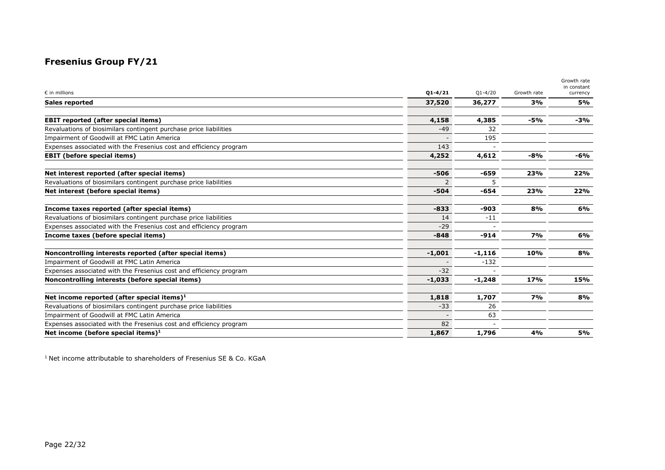# **Fresenius Group FY/21**

|                                                                    |             |             |             | Growth rate<br>in constant |
|--------------------------------------------------------------------|-------------|-------------|-------------|----------------------------|
| $\epsilon$ in millions                                             | $01 - 4/21$ | $Q1 - 4/20$ | Growth rate | currency                   |
| <b>Sales reported</b>                                              | 37,520      | 36,277      | 3%          | 5%                         |
| <b>EBIT reported (after special items)</b>                         | 4,158       | 4,385       | $-5%$       | -3%                        |
| Revaluations of biosimilars contingent purchase price liabilities  | $-49$       | 32          |             |                            |
| Impairment of Goodwill at FMC Latin America                        |             | 195         |             |                            |
| Expenses associated with the Fresenius cost and efficiency program | 143         |             |             |                            |
| <b>EBIT (before special items)</b>                                 | 4,252       | 4,612       | $-8%$       | -6%                        |
| Net interest reported (after special items)                        | $-506$      | $-659$      | 23%         | 22%                        |
| Revaluations of biosimilars contingent purchase price liabilities  |             |             |             |                            |
| Net interest (before special items)                                | $-504$      | $-654$      | 23%         | 22%                        |
| Income taxes reported (after special items)                        | $-833$      | -903        | 8%          | 6%                         |
| Revaluations of biosimilars contingent purchase price liabilities  | 14          | $-11$       |             |                            |
| Expenses associated with the Fresenius cost and efficiency program | $-29$       |             |             |                            |
| Income taxes (before special items)                                | $-848$      | $-914$      | 7%          | 6%                         |
| Noncontrolling interests reported (after special items)            | $-1,001$    | $-1,116$    | 10%         | 8%                         |
| <b>Impairment of Goodwill at FMC Latin America</b>                 |             | $-132$      |             |                            |
| Expenses associated with the Fresenius cost and efficiency program | $-32$       |             |             |                            |
| Noncontrolling interests (before special items)                    | $-1,033$    | $-1,248$    | 17%         | 15%                        |
| Net income reported (after special items) $1$                      | 1,818       | 1,707       | 7%          | 8%                         |
| Revaluations of biosimilars contingent purchase price liabilities  | $-33$       | 26          |             |                            |
| Impairment of Goodwill at FMC Latin America                        |             | 63          |             |                            |
| Expenses associated with the Fresenius cost and efficiency program | 82          |             |             |                            |
| Net income (before special items) $1$                              | 1,867       | 1,796       | 4%          | 5%                         |

 $1$  Net income attributable to shareholders of Fresenius SE & Co. KGaA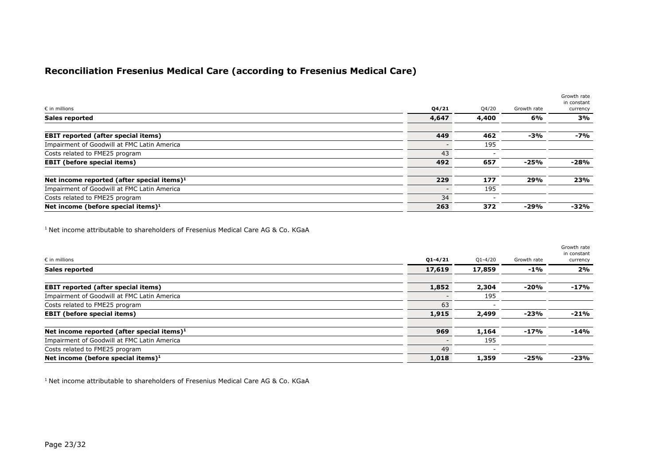## **Reconciliation Fresenius Medical Care (according to Fresenius Medical Care)**

|                                               |       |       |             | Growth rate<br>in constant |
|-----------------------------------------------|-------|-------|-------------|----------------------------|
| $\epsilon$ in millions                        | Q4/21 | Q4/20 | Growth rate | currency                   |
| <b>Sales reported</b>                         | 4,647 | 4,400 | 6%          | 3%                         |
| <b>EBIT reported (after special items)</b>    | 449   | 462   | $-3%$       | -7%                        |
| Impairment of Goodwill at FMC Latin America   |       | 195   |             |                            |
| Costs related to FME25 program                | 43    |       |             |                            |
| <b>EBIT</b> (before special items)            | 492   | 657   | $-25%$      | -28%                       |
| Net income reported (after special items) $1$ | 229   | 177   | 29%         | 23%                        |
| Impairment of Goodwill at FMC Latin America   |       | 195   |             |                            |
| Costs related to FME25 program                | 34    |       |             |                            |
| Net income (before special items) $1$         | 263   | 372   | $-29%$      | -32%                       |

<sup>1</sup> Net income attributable to shareholders of Fresenius Medical Care AG & Co. KGaA

|                                               |             |             |             | Growth rate<br>in constant |
|-----------------------------------------------|-------------|-------------|-------------|----------------------------|
| $\epsilon$ in millions                        | $Q1 - 4/21$ | $Q1 - 4/20$ | Growth rate | currency                   |
| <b>Sales reported</b>                         | 17,619      | 17,859      | -1%         | 2%                         |
| <b>EBIT reported (after special items)</b>    | 1,852       | 2,304       | $-20%$      | $-17%$                     |
| Impairment of Goodwill at FMC Latin America   |             | 195         |             |                            |
| Costs related to FME25 program                | 63          |             |             |                            |
| <b>EBIT</b> (before special items)            | 1,915       | 2,499       | $-23%$      | $-21%$                     |
| Net income reported (after special items) $1$ | 969         | 1,164       | -17%        | $-14%$                     |
| Impairment of Goodwill at FMC Latin America   |             | 195         |             |                            |
| Costs related to FME25 program                | 49          |             |             |                            |
| Net income (before special items) $1$         | 1,018       | 1,359       | $-25%$      | $-23%$                     |

<sup>1</sup> Net income attributable to shareholders of Fresenius Medical Care AG & Co. KGaA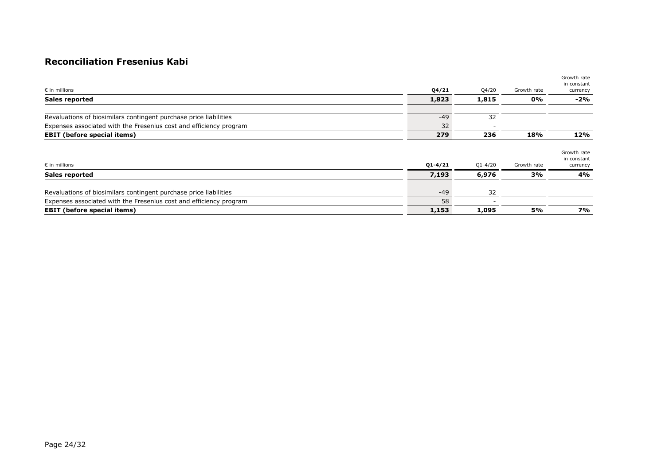## **Reconciliation Fresenius Kabi**

| $\epsilon$ in millions                                             | Q4/21 | Q4/20 | Growth rate | Growth rate<br>in constant<br>currency |
|--------------------------------------------------------------------|-------|-------|-------------|----------------------------------------|
| <b>Sales reported</b>                                              | 1,823 | 1,815 | $0\%$       | $-2%$                                  |
| Revaluations of biosimilars contingent purchase price liabilities  | $-49$ | 32    |             |                                        |
| Expenses associated with the Fresenius cost and efficiency program | 32    |       |             |                                        |
| <b>EBIT (before special items)</b>                                 | 279   | 236   | 18%         | 12%                                    |

| $\epsilon$ in millions                                             | $Q1 - 4/21$ | $Q1 - 4/20$ | Growth rate | Growth rate<br>in constant<br>currency |
|--------------------------------------------------------------------|-------------|-------------|-------------|----------------------------------------|
| <b>Sales reported</b>                                              | 7,193       | 6,976       | 3%          | 4%                                     |
| Revaluations of biosimilars contingent purchase price liabilities  | $-49$       | -32         |             |                                        |
| Expenses associated with the Fresenius cost and efficiency program | 58          |             |             |                                        |
| <b>EBIT</b> (before special items)                                 | 1,153       | 1,095       | 5%          | 7%                                     |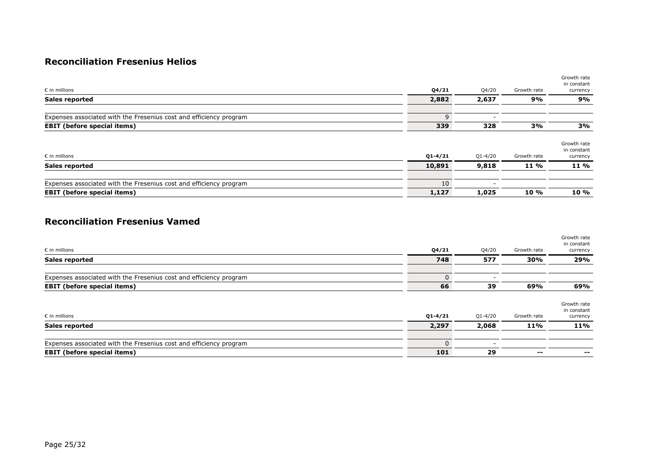### **Reconciliation Fresenius Helios**

|             |                          | Growth rate | currency                               |
|-------------|--------------------------|-------------|----------------------------------------|
|             | 2,637                    | 9%          | 9%                                     |
| 9           |                          |             |                                        |
| 339         | 328                      | 3%          | 3%                                     |
| $Q1 - 4/21$ | $Q1 - 4/20$              | Growth rate | Growth rate<br>in constant<br>currency |
| 10,891      | 9,818                    | 11 %        | 11 %                                   |
| 10          | $\overline{\phantom{0}}$ |             | <b>10 %</b>                            |
|             | 2,882<br>1,127           | 1,025       | 10 %                                   |

#### **Reconciliation Fresenius Vamed**

| $\epsilon$ in millions                                                                                   | Q4/21           | Q4/20       | Growth rate | Growth rate<br>in constant<br>currency |
|----------------------------------------------------------------------------------------------------------|-----------------|-------------|-------------|----------------------------------------|
| <b>Sales reported</b>                                                                                    | 748             | 577         | 30%         | 29%                                    |
| Expenses associated with the Fresenius cost and efficiency program                                       | $\Omega$        |             |             |                                        |
| <b>EBIT</b> (before special items)                                                                       | 66              | 39          | 69%         | 69%                                    |
| $\epsilon$ in millions                                                                                   | $Q1 - 4/21$     | $Q1 - 4/20$ | Growth rate | Growth rate<br>in constant<br>currency |
| <b>Sales reported</b>                                                                                    | 2,297           | 2,068       | 11%         | 11%                                    |
| Expenses associated with the Fresenius cost and efficiency program<br><b>EBIT</b> (before special items) | $\Omega$<br>101 | 29          | --          | --                                     |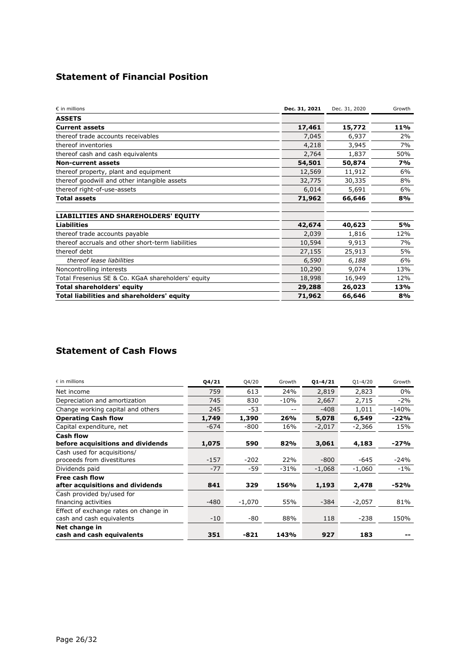# **Statement of Financial Position**

| $\varepsilon$ in millions                          | Dec. 31, 2021 | Dec. 31, 2020 | Growth |
|----------------------------------------------------|---------------|---------------|--------|
| <b>ASSETS</b>                                      |               |               |        |
| <b>Current assets</b>                              | 17,461        | 15,772        | 11%    |
| thereof trade accounts receivables                 | 7,045         | 6,937         | 2%     |
| thereof inventories                                | 4,218         | 3,945         | 7%     |
| thereof cash and cash equivalents                  | 2,764         | 1,837         | 50%    |
| <b>Non-current assets</b>                          | 54,501        | 50,874        | 7%     |
| thereof property, plant and equipment              | 12,569        | 11,912        | 6%     |
| thereof goodwill and other intangible assets       | 32,775        | 30,335        | 8%     |
| thereof right-of-use-assets                        | 6,014         | 5,691         | 6%     |
| <b>Total assets</b>                                | 71,962        | 66,646        | 8%     |
| <b>LIABILITIES AND SHAREHOLDERS' EQUITY</b>        |               |               |        |
| <b>Liabilities</b>                                 | 42,674        | 40,623        | 5%     |
| thereof trade accounts payable                     | 2,039         | 1,816         | 12%    |
| thereof accruals and other short-term liabilities  | 10,594        | 9,913         | 7%     |
| thereof debt                                       | 27,155        | 25,913        | 5%     |
| thereof lease liabilities                          | 6,590         | 6,188         | 6%     |
| Noncontrolling interests                           | 10,290        | 9,074         | 13%    |
| Total Fresenius SE & Co. KGaA shareholders' equity | 18,998        | 16,949        | 12%    |
| <b>Total shareholders' equity</b>                  | 29,288        | 26,023        | 13%    |
| Total liabilities and shareholders' equity         | 71,962        | 66,646        | 8%     |

# **Statement of Cash Flows**

| $\varepsilon$ in millions                                          | Q4/21  | Q4/20    | Growth | $Q1 - 4/21$ | $Q1 - 4/20$ | Growth  |
|--------------------------------------------------------------------|--------|----------|--------|-------------|-------------|---------|
| Net income                                                         | 759    | 613      | 24%    | 2,819       | 2,823       | 0%      |
| Depreciation and amortization                                      | 745    | 830      | $-10%$ | 2,667       | 2,715       | $-2%$   |
| Change working capital and others                                  | 245    | $-53$    | $- -$  | $-408$      | 1,011       | $-140%$ |
| <b>Operating Cash flow</b>                                         | 1,749  | 1,390    | 26%    | 5,078       | 6,549       | $-22%$  |
| Capital expenditure, net                                           | $-674$ | $-800$   | 16%    | $-2,017$    | $-2,366$    | 15%     |
| <b>Cash flow</b><br>before acquisitions and dividends              | 1,075  | 590      | 82%    | 3,061       | 4,183       | $-27%$  |
| Cash used for acquisitions/<br>proceeds from divestitures          | $-157$ | $-202$   | 22%    | $-800$      | $-645$      | $-24%$  |
| Dividends paid                                                     | $-77$  | $-59$    | $-31%$ | $-1,068$    | $-1,060$    | $-1\%$  |
| Free cash flow<br>after acquisitions and dividends                 | 841    | 329      | 156%   | 1,193       | 2,478       | $-52%$  |
| Cash provided by/used for<br>financing activities                  | $-480$ | $-1,070$ | 55%    | $-384$      | $-2,057$    | 81%     |
| Effect of exchange rates on change in<br>cash and cash equivalents | $-10$  | -80      | 88%    | 118         | $-238$      | 150%    |
| Net change in<br>cash and cash equivalents                         | 351    | $-821$   | 143%   | 927         | 183         |         |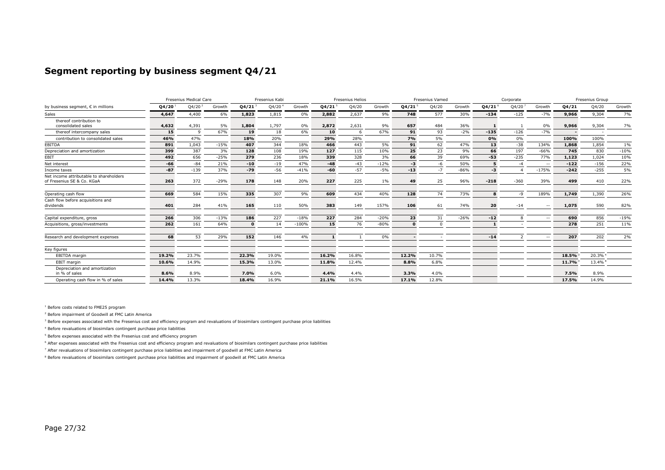#### **Segment reporting by business segment Q4/21**

|                                         |             | Fresenius Medical Care |        |              | Fresenius Kabi     |         |             | Fresenius Helios |        |             | <b>Fresenius Vamed</b> |        | Corporate            |        |               | Fresenius Group |        |        |
|-----------------------------------------|-------------|------------------------|--------|--------------|--------------------|---------|-------------|------------------|--------|-------------|------------------------|--------|----------------------|--------|---------------|-----------------|--------|--------|
| by business segment, € in millions      | $Q4/20^{1}$ | Q4/20 <sup>2</sup>     | Growth | $Q4/21^{3}$  | Q4/20 <sup>4</sup> | Growth  | $Q4/21^{5}$ | Q4/20            | Growth | $Q4/21^{5}$ | Q4/20                  | Growth | $Q4/21$ <sup>6</sup> | Q4/20  | Growth        | Q4/21           | Q4/20  | Growth |
| Sales                                   | 4,647       | 4,400                  | 6%     | 1,823        | 1,815              | 0%      | 2,882       | 2,637            | 9%     | 748         | 577                    | 30%    | $-134$               | $-125$ | $-7%$         | 9,966           | 9,304  | 7%     |
| thereof contribution to                 |             |                        |        |              |                    |         |             |                  |        |             |                        |        |                      |        |               |                 |        |        |
| consolidated sales                      | 4,632       | 4,391                  | 5%     | 1,804        | 1,797              | 0%      | 2,872       | 2,631            | 9%     | 657         | 484                    | 36%    |                      |        | 0%            | 9,966           | 9,304  | 7%     |
| thereof intercompany sales              | 15          | $\alpha$               | 67%    | 19           | 18                 | 6%      | 10          | -6               | 67%    | 91          | 93                     | $-2%$  | $-135$               | $-126$ | $-7%$         |                 |        |        |
| contribution to consolidated sales      | 46%         | 47%                    |        | 18%          | 20%                |         | 29%         | 28%              |        | 7%          | 5%                     |        | 0%                   | 0%     |               | 100%            | 100%   |        |
| <b>EBITDA</b>                           | 891         | 1.043                  | $-15%$ | 407          | 344                | 18%     | 466         | 443              | 5%     | 91          | 62                     | 47%    | 13                   | $-38$  | 134%          | 1,868           | 1,854  | 1%     |
| Depreciation and amortization           | 399         | 387                    | 3%     | 128          | 108                | 19%     | 127         | 115              | 10%    | 25          | 23                     | 9%     | 66                   | 197    | $-66%$        | 745             | 830    | $-10%$ |
| EBIT                                    | 492         | 656                    | $-25%$ | 279          | 236                | 18%     | 339         | 328              | 3%     | 66          | 39                     | 69%    | $-53$                | $-235$ | 77%           | 1,123           | 1,024  | 10%    |
| Net interest                            | $-66$       | $-84$                  | 21%    | $-10$        | $-19$              | 47%     | $-48$       | $-43$            | $-12%$ | -3          | -6                     | 50%    |                      | $-4$   | $\sim$ $\sim$ | $-122$          | $-156$ | 22%    |
| Income taxes                            | $-87$       | $-139$                 | 37%    | $-79$        | $-56$              | $-41%$  | $-60$       | $-57$            | $-5%$  | $-13$       | $-7$                   | $-86%$ | -3                   |        | $-175%$       | $-242$          | $-255$ | 5%     |
| Net income attributable to shareholders |             |                        |        |              |                    |         |             |                  |        |             |                        |        |                      |        |               |                 |        |        |
| of Fresenius SE & Co. KGaA              | 263         | 372                    | $-29%$ | 178          | 148                | 20%     | 227         | 225              | $1\%$  | 49          | 25                     | 96%    | $-218$               | $-360$ | 39%           | 499             | 410    | 22%    |
| Operating cash flow                     | 669         | 584                    | 15%    | 335          | 307                | 9%      | 609         | 434              | 40%    | 128         | 74                     | 73%    | 8                    | $-9$   | 189%          | 1,749           | 1,390  | 26%    |
| Cash flow before acquisitions and       |             |                        |        |              |                    |         |             |                  |        |             |                        |        |                      |        |               |                 |        |        |
| dividends                               | 401         | 284                    | 41%    | 165          | 110                | 50%     | 383         | 149              | 157%   | 106         | 61                     | 74%    | 20                   | $-14$  | $\sim$ $\sim$ | 1,075           | 590    | 82%    |
| Capital expenditure, gross              | 266         | 306                    | $-13%$ | 186          | 227                | $-18%$  | 227         | 284              | $-20%$ | 23          | 31                     | $-26%$ | $-12$                | 8      | $\sim$ $-$    | 690             | 856    | $-19%$ |
| Acquisitions, gross/investments         | 262         | 161                    | 64%    | $\mathbf{0}$ | 14                 | $-100%$ | 15          | 76               | $-80%$ | $\sqrt{2}$  | $\Omega$               |        |                      |        |               | 278             | 251    | 11%    |
| Research and development expenses       | 68          | 53                     | 29%    | 152          | 146                | 4%      |             |                  | $0\%$  |             |                        |        | $-14$                |        | $\sim$ $\sim$ | 207             | 202    | 2%     |
| Key figures                             |             |                        |        |              |                    |         |             |                  |        |             |                        |        |                      |        |               |                 |        |        |
| EBITDA margin                           | 19.2%       | 23.7%                  |        | 22.3%        | 19.0%              |         | 16.2%       | 16.8%            |        | 12.2%       | 10.7%                  |        |                      |        |               | 18.5%           | 20.3%  |        |
| <b>EBIT</b> margin                      | 10.6%       | 14.9%                  |        | 15.3%        | 13.0%              |         | 11.8%       | 12.4%            |        | 8.8%        | 6.8%                   |        |                      |        |               | 11.7%           | 13.4%  |        |
| Depreciation and amortization           |             |                        |        |              |                    |         |             |                  |        |             |                        |        |                      |        |               |                 |        |        |
| in % of sales                           | 8.6%        | 8.9%                   |        | 7.0%         | 6.0%               |         | 4.4%        | 4.4%             |        | 3.3%        | 4.0%                   |        |                      |        |               | 7.5%            | 8.9%   |        |
| Operating cash flow in % of sales       | 14.4%       | 13.3%                  |        | 18.4%        | 16.9%              |         | 21.1%       | 16.5%            |        | 17.1%       | 12.8%                  |        |                      |        |               | 17.5%           | 14.9%  |        |

1 Before costs related to FME25 program

2 Before impairment of Goodwill at FMC Latin America

<sup>3</sup> Before expenses associated with the Fresenius cost and efficiency program and revaluations of biosimilars contingent purchase price liabilities

4 Before revaluations of biosimilars contingent purchase price liabilities

<sup>5</sup> Before expenses associated with the Fresenius cost and efficiency program

<sup>6</sup> After expenses associated with the Fresenius cost and efficiency program and revaluations of biosimilars contingent purchase price liabilities

7 After revaluations of biosimilars contingent purchase price liabilities and impairment of goodwill at FMC Latin America

<sup>8</sup> Before revaluations of biosimilars contingent purchase price liabilities and impairment of goodwill at FMC Latin America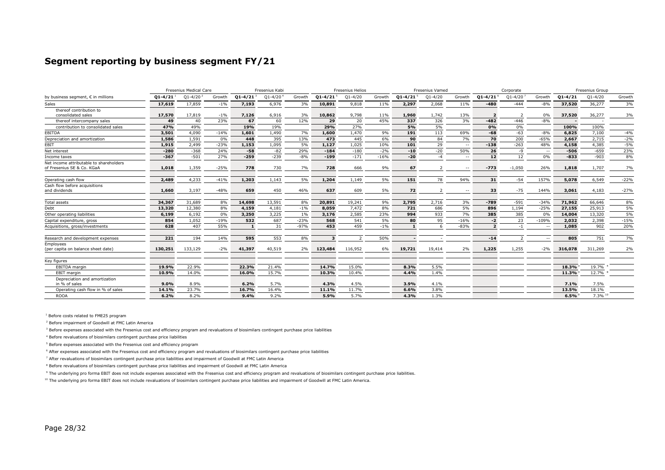#### **Segment reporting by business segment FY/21**

|                                                                       |             | Fresenius Medical Care |        |                          | Fresenius Kabi           |        |                          | <b>Fresenius Helios</b> |        |                          | <b>Fresenius Vamed</b> |               |                          | Corporate      |               |             | Fresenius Group |        |
|-----------------------------------------------------------------------|-------------|------------------------|--------|--------------------------|--------------------------|--------|--------------------------|-------------------------|--------|--------------------------|------------------------|---------------|--------------------------|----------------|---------------|-------------|-----------------|--------|
| by business seqment, € in millions                                    | $01 - 4/21$ | $01 - 4/20$            | Growth | $Q1 - 4/21$ <sup>3</sup> | $01 - 4/20$ <sup>4</sup> | Growth | $Q1 - 4/21$ <sup>5</sup> | $Q1 - 4/20$             | Growth | $Q1 - 4/21$ <sup>5</sup> | $Q1 - 4/20$            | Growth        | $Q1 - 4/21$ <sup>6</sup> | $Q1 - 4/20$    | Growth        | $Q1 - 4/21$ | $Q1 - 4/20$     | Growth |
| Sales                                                                 | 17,619      | 17,859                 | $-1%$  | 7,193                    | 6,976                    | 3%     | 10,891                   | 9,818                   | 11%    | 2,297                    | 2.068                  | 11%           | $-480$                   | $-444$         | $-8%$         | 37,520      | 36,277          | 3%     |
| thereof contribution to<br>consolidated sales                         | 17,570      | 17,819                 | $-1\%$ | 7,126                    | 6,916                    | 3%     | 10,862                   | 9,798                   | 11%    | 1,960                    | 1,742                  | 13%           |                          | $\overline{z}$ | 0%            | 37,520      | 36,277          | 3%     |
| thereof intercompany sales                                            | 49          | 40                     | 23%    | 67                       | 60                       | 12%    | 29                       | 20                      | 45%    | 337                      | 326                    | 3%            | $-482$                   | $-446$         | $-8%$         |             |                 |        |
| contribution to consolidated sales                                    | 47%         | 49%                    |        | 19%                      | 19%                      |        | 29%                      | 27%                     |        | 5%                       | 5%                     |               | 0%                       | 0%             |               | 100%        | 100%            |        |
| EBITDA                                                                | 3,501       | 4.090                  | $-14%$ | 1,601                    | 1,490                    | 7%     | 1,600                    | 1,470                   | 9%     | 191                      | 113                    | 69%           | $-68$                    | $-63$          | $-8%$         | 6,825       | 7,100           | $-4%$  |
| Depreciation and amortization                                         | 1,586       | 1,591                  | 0%     | 448                      | 395                      | 13%    | 473                      | 445                     | 6%     | 90                       | 84                     | 7%            | 70                       | 200            | $-65%$        | 2,667       | 2,715           | $-2%$  |
| EBIT                                                                  | 1,915       | 2.499                  | $-23%$ | 1,153                    | 1,095                    | 5%     | 1,127                    | 1,025                   | 10%    | 101                      | 29                     | $-$           | $-138$                   | $-263$         | 48%           | 4,158       | 4,385           | $-5%$  |
| Net interest                                                          | $-280$      | $-368$                 | 24%    | $-58$                    | $-82$                    | 29%    | $-184$                   | $-180$                  | $-2%$  | $-10$                    | $-20$                  | 50%           | 26                       | $-9$           | $\sim$ $-$    | $-506$      | $-659$          | 23%    |
| Income taxes                                                          | $-367$      | $-501$                 | 27%    | $-259$                   | $-239$                   | $-8%$  | $-199$                   | $-171$                  | $-16%$ | $-20$                    | $-4$                   | $\sim$ $\sim$ | 12                       | 12             | 0%            | $-833$      | $-903$          | 8%     |
| Net income attributable to shareholders<br>of Fresenius SE & Co. KGaA | 1,018       | 1,359                  | $-25%$ | 778                      | 730                      | 7%     | 728                      | 666                     | 9%     | 67                       |                        | $\sim$ $\sim$ | $-773$                   | $-1,050$       | 26%           | 1,818       | 1,707           | 7%     |
| Operating cash flow                                                   | 2,489       | 4,233                  | $-41%$ | 1,203                    | 1,143                    | 5%     | 1,204                    | 1,149                   | 5%     | 151                      | 78                     | 94%           | 31                       | $-54$          | 157%          | 5,078       | 6,549           | $-22%$ |
| Cash flow before acquisitions<br>and dividends                        | 1,660       | 3,197                  | $-48%$ | 659                      | 450                      | 46%    | 637                      | 609                     | 5%     | 72                       |                        |               | 33                       | $-75$          | 144%          | 3,061       | 4,183           | $-27%$ |
| <b>Total assets</b>                                                   | 34,367      | 31,689                 | 8%     | 14,698                   | 13,591                   | 8%     | 20,891                   | 19,241                  | 9%     | 2,795                    | 2.716                  | 3%            | $-789$                   | $-591$         | $-34%$        | 71,962      | 66,646          | 8%     |
| Debt                                                                  | 13,320      | 12,380                 | 8%     | 4,159                    | 4,181                    | $-1\%$ | 8,059                    | 7,472                   | 8%     | 721                      | 686                    | 5%            | 896                      | 1,194          | $-25%$        | 27,155      | 25,913          | 5%     |
| Other operating liabilities                                           | 6,199       | 6,192                  | 0%     | 3,250                    | 3,225                    | $1\%$  | 3,176                    | 2,585                   | 23%    | 994                      | 933                    | 7%            | 385                      | 385            | 0%            | 14,004      | 13,320          | 5%     |
| Capital expenditure, gross                                            | 854         | 1.052                  | $-19%$ | 532                      | 687                      | $-23%$ | 568                      | 541                     | 5%     | 80                       | 95                     | $-16%$        | $-2$                     | 23             | $-109%$       | 2,032       | 2,398           | $-15%$ |
| Acquisitions, gross/investments                                       | 628         | 407                    | 55%    | $\mathbf{1}$             | 31                       | $-97%$ | 453                      | 459                     | $-1%$  |                          | -6                     | $-83%$        |                          | $-1$           | $\sim$ $\sim$ | 1,085       | 902             | 20%    |
| Research and development expenses                                     | 221         | 194                    | 14%    | 595                      | 553                      | 8%     | з                        | $\overline{z}$          | 50%    |                          |                        |               | $-14$                    | $\mathcal{L}$  | $\sim$ $-$    | 805         | 751             | 7%     |
| Employees<br>(per capita on balance sheet date)                       | 130,251     | 133,129                | $-2%$  | 41,397                   | 40,519                   | 2%     | 123,484                  | 116,952                 | 6%     | 19,721                   | 19,414                 | 2%            | 1,225                    | 1,255          | $-2%$         | 316,078     | 311,269         | 2%     |
| Key figures                                                           |             |                        |        |                          |                          |        |                          |                         |        |                          |                        |               |                          |                |               |             |                 |        |
| EBITDA margin                                                         | 19.9%       | 22.9%                  |        | 22.3%                    | 21.4%                    |        | 14.7%                    | 15.0%                   |        | 8.3%                     | 5.5%                   |               |                          |                |               | 18.3%       | 19.7%           |        |
| <b>EBIT</b> margin                                                    | 10.9%       | 14.0%                  |        | 16.0%                    | 15.7%                    |        | 10.3%                    | 10.4%                   |        | 4.4%                     | 1.4%                   |               |                          |                |               | 11.3%       | 12.7%           |        |
| Depreciation and amortization<br>in % of sales                        | 9.0%        | 8.9%                   |        | 6.2%                     | 5.7%                     |        | 4.3%                     | 4.5%                    |        | 3.9%                     | 4.1%                   |               |                          |                |               | 7.1%        | 7.5%            |        |
| Operating cash flow in % of sales                                     | 14.1%       | 23.7%                  |        | 16.7%                    | 16.4%                    |        | 11.1%                    | 11.7%                   |        | 6.6%                     | 3.8%                   |               |                          |                |               | 13.5%       | 18.1%           |        |
| <b>ROOA</b>                                                           | 6.2%        | 8.2%                   |        | 9.4%                     | 9.2%                     |        | 5.9%                     | 5.7%                    |        | 4.3%                     | 1.3%                   |               |                          |                |               | 6.5%        | 7.3% 10         |        |

<sup>1</sup> Before costs related to FME25 program

<sup>2</sup> Before impairment of Goodwill at FMC Latin America

<sup>3</sup> Before expenses associated with the Fresenius cost and efficiency program and revaluations of biosimilars contingent purchase price liabilities

4 Before revaluations of biosimilars contingent purchase price liabilities

<sup>5</sup> Before expenses associated with the Fresenius cost and efficiency program

<sup>6</sup> After expenses associated with the Fresenius cost and efficiency program and revaluations of biosimilars contingent purchase price liabilities

7 After revaluations of biosimilars contingent purchase price liabilities and impairment of Goodwill at FMC Latin America

<sup>8</sup> Before revaluations of biosimilars contingent purchase price liabilities and impairment of Goodwill at FMC Latin America

<sup>9</sup> The underlying pro forma EBIT does not include expenses associated with the Fresenius cost and efficiency program and revaluations of biosimilars contingent purchase price liabilities.

<sup>10</sup> The underlying pro forma EBIT does not include revaluations of biosimilars contingent purchase price liabilities and impairment of Goodwill at FMC Latin America.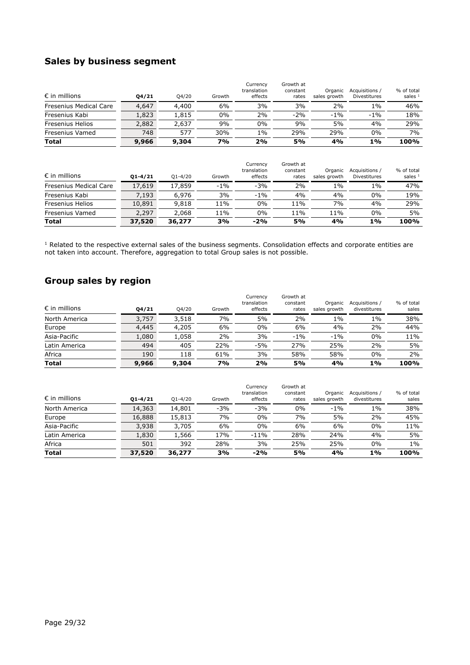## **Sales by business segment**

| $\epsilon$ in millions | 04/21 | Q4/20 | Growth | Currency<br>translation<br>effects | Growth at<br>constant<br>rates | Organic<br>sales growth | Acquisitions /<br>Divestitures | % of total<br>sales $1$ |
|------------------------|-------|-------|--------|------------------------------------|--------------------------------|-------------------------|--------------------------------|-------------------------|
| Fresenius Medical Care | 4,647 | 4,400 | 6%     | 3%                                 | 3%                             | 2%                      | $1\%$                          | 46%                     |
| Fresenius Kabi         | L,823 | 1,815 | 0%     | 2%                                 | $-2%$                          | $-1\%$                  | $-1\%$                         | 18%                     |
| Fresenius Helios       | 2,882 | 2,637 | 9%     | 0%                                 | 9%                             | 5%                      | 4%                             | 29%                     |
| Fresenius Vamed        | 748   | 577   | 30%    | 1%                                 | 29%                            | 29%                     | $0\%$                          | 7%                      |
| <b>Total</b>           | 9,966 | 9,304 | 7%     | 2%                                 | 5%                             | 4%                      | $1\%$                          | 100%                    |

| <b>Total</b>                  | 37,520      | 36,277      | 3%     | $-2%$                              | 5%                             | 4%                      | 1%                             | 100%                    |
|-------------------------------|-------------|-------------|--------|------------------------------------|--------------------------------|-------------------------|--------------------------------|-------------------------|
| Fresenius Vamed               | 2,297       | 2,068       | 11%    | 0%                                 | 11%                            | 11%                     | $0\%$                          | 5%                      |
| Fresenius Helios              | 10,891      | 9,818       | 11%    | 0%                                 | 11%                            | 7%                      | 4%                             | 29%                     |
| Fresenius Kabi                | 7.193       | 6,976       | 3%     | $-1\%$                             | 4%                             | 4%                      | 0%                             | 19%                     |
| <b>Fresenius Medical Care</b> | 17,619      | 17,859      | $-1%$  | $-3%$                              | 2%                             | $1\%$                   | 1%                             | 47%                     |
| $\epsilon$ in millions        | $01 - 4/21$ | $O1 - 4/20$ | Growth | Currency<br>translation<br>effects | Growth at<br>constant<br>rates | Organic<br>sales growth | Acquisitions /<br>Divestitures | % of total<br>sales $1$ |

<sup>1</sup> Related to the respective external sales of the business segments. Consolidation effects and corporate entities are not taken into account. Therefore, aggregation to total Group sales is not possible.

## **Group sales by region**

|                        |       |       |        | Currency<br>translation | Growth at<br>constant | Organic      | Acquisitions / | % of total |
|------------------------|-------|-------|--------|-------------------------|-----------------------|--------------|----------------|------------|
| $\epsilon$ in millions | 04/21 | Q4/20 | Growth | effects                 | rates                 | sales growth | divestitures   | sales      |
| North America          | 3,757 | 3,518 | 7%     | 5%                      | 2%                    | 1%           | 1%             | 38%        |
| Europe                 | 4,445 | 4,205 | 6%     | $0\%$                   | 6%                    | 4%           | 2%             | 44%        |
| Asia-Pacific           | 1,080 | 1,058 | 2%     | 3%                      | $-1\%$                | $-1%$        | 0%             | 11%        |
| Latin America          | 494   | 405   | 22%    | $-5%$                   | 27%                   | 25%          | 2%             | 5%         |
| Africa                 | 190   | 118   | 61%    | 3%                      | 58%                   | 58%          | 0%             | 2%         |
| <b>Total</b>           | 9,966 | 9,304 | 7%     | 2%                      | 5%                    | 4%           | 1%             | 100%       |

| <b>Total</b>           | 37,520      | 36,277      | 3%     | $-2%$                              | 5%                             | 4%                      | 1%                             | 100%                |
|------------------------|-------------|-------------|--------|------------------------------------|--------------------------------|-------------------------|--------------------------------|---------------------|
| Africa                 | 501         | 392         | 28%    | 3%                                 | 25%                            | 25%                     | $0\%$                          | $1\%$               |
| Latin America          | 1,830       | 1,566       | 17%    | $-11%$                             | 28%                            | 24%                     | 4%                             | 5%                  |
| Asia-Pacific           | 3,938       | 3,705       | 6%     | $0\%$                              | 6%                             | 6%                      | 0%                             | 11%                 |
| Europe                 | 16,888      | 15,813      | 7%     | $0\%$                              | 7%                             | 5%                      | 2%                             | 45%                 |
| North America          | 14,363      | 14,801      | $-3%$  | $-3%$                              | $0\%$                          | $-1\%$                  | $1\%$                          | 38%                 |
| $\epsilon$ in millions | $01 - 4/21$ | $O1 - 4/20$ | Growth | Currency<br>translation<br>effects | Growth at<br>constant<br>rates | Organic<br>sales growth | Acquisitions /<br>divestitures | % of total<br>sales |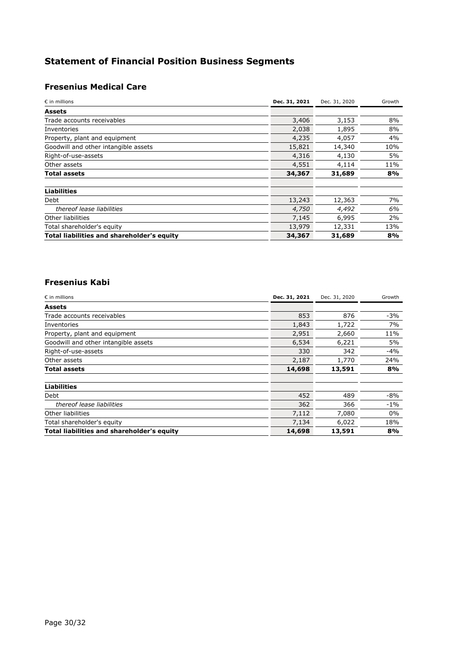# **Statement of Financial Position Business Segments**

# **Fresenius Medical Care**

| $\epsilon$ in millions                            | Dec. 31, 2021 | Dec. 31, 2020 | Growth |
|---------------------------------------------------|---------------|---------------|--------|
| <b>Assets</b>                                     |               |               |        |
| Trade accounts receivables                        | 3,406         | 3,153         | 8%     |
| Inventories                                       | 2,038         | 1,895         | 8%     |
| Property, plant and equipment                     | 4,235         | 4,057         | 4%     |
| Goodwill and other intangible assets              | 15,821        | 14,340        | 10%    |
| Right-of-use-assets                               | 4,316         | 4,130         | 5%     |
| Other assets                                      | 4,551         | 4,114         | 11%    |
| Total assets                                      | 34,367        | 31,689        | 8%     |
|                                                   |               |               |        |
| <b>Liabilities</b>                                |               |               |        |
| Debt                                              | 13,243        | 12,363        | 7%     |
| thereof lease liabilities                         | 4,750         | 4,492         | 6%     |
| Other liabilities                                 | 7,145         | 6,995         | 2%     |
| Total shareholder's equity                        | 13,979        | 12,331        | 13%    |
| <b>Total liabilities and shareholder's equity</b> | 34,367        | 31,689        | 8%     |

#### **Fresenius Kabi**

| $\epsilon$ in millions                            | Dec. 31, 2021 | Dec. 31, 2020 | Growth |
|---------------------------------------------------|---------------|---------------|--------|
| <b>Assets</b>                                     |               |               |        |
| Trade accounts receivables                        | 853           | 876           | $-3%$  |
| Inventories                                       | 1,843         | 1,722         | 7%     |
| Property, plant and equipment                     | 2,951         | 2,660         | 11%    |
| Goodwill and other intangible assets              | 6,534         | 6,221         | 5%     |
| Right-of-use-assets                               | 330           | 342           | $-4%$  |
| Other assets                                      | 2,187         | 1,770         | 24%    |
| Total assets                                      | 14,698        | 13,591        | 8%     |
| <b>Liabilities</b>                                |               |               |        |
| Debt                                              | 452           | 489           | $-8%$  |
| thereof lease liabilities                         | 362           | 366           | $-1\%$ |
| Other liabilities                                 | 7,112         | 7,080         | $0\%$  |
| Total shareholder's equity                        | 7,134         | 6,022         | 18%    |
| <b>Total liabilities and shareholder's equity</b> | 14,698        | 13,591        | 8%     |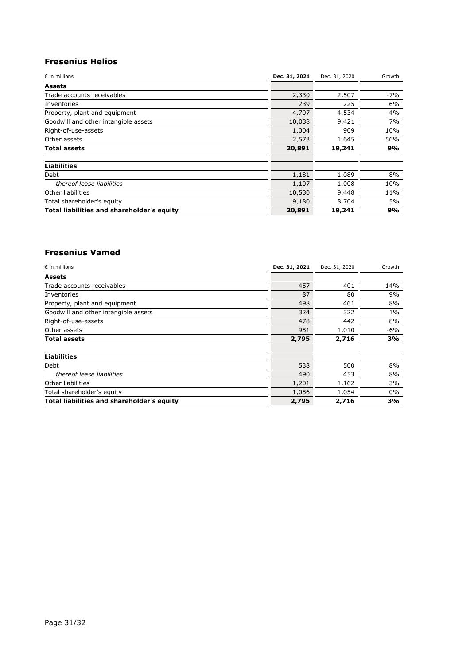### **Fresenius Helios**

| $\epsilon$ in millions                            | Dec. 31, 2021 | Dec. 31, 2020 | Growth |
|---------------------------------------------------|---------------|---------------|--------|
| <b>Assets</b>                                     |               |               |        |
| Trade accounts receivables                        | 2,330         | 2,507         | $-7%$  |
| Inventories                                       | 239           | 225           | 6%     |
| Property, plant and equipment                     | 4,707         | 4,534         | 4%     |
| Goodwill and other intangible assets              | 10,038        | 9,421         | 7%     |
| Right-of-use-assets                               | 1,004         | 909           | 10%    |
| Other assets                                      | 2,573         | 1,645         | 56%    |
| Total assets                                      | 20,891        | 19,241        | 9%     |
| <b>Liabilities</b>                                |               |               |        |
| Debt                                              | 1,181         | 1,089         | 8%     |
| thereof lease liabilities                         | 1,107         | 1,008         | 10%    |
| Other liabilities                                 | 10,530        | 9,448         | 11%    |
| Total shareholder's equity                        | 9,180         | 8,704         | 5%     |
| <b>Total liabilities and shareholder's equity</b> | 20,891        | 19,241        | 9%     |

#### **Fresenius Vamed**

| $\epsilon$ in millions                            | Dec. 31, 2021 | Dec. 31, 2020 | Growth |
|---------------------------------------------------|---------------|---------------|--------|
| <b>Assets</b>                                     |               |               |        |
| Trade accounts receivables                        | 457           | 401           | 14%    |
| Inventories                                       | 87            | 80            | 9%     |
| Property, plant and equipment                     | 498           | 461           | 8%     |
| Goodwill and other intangible assets              | 324           | 322           | 1%     |
| Right-of-use-assets                               | 478           | 442           | 8%     |
| Other assets                                      | 951           | 1,010         | $-6%$  |
| Total assets                                      | 2,795         | 2,716         | 3%     |
| <b>Liabilities</b>                                |               |               |        |
| Debt                                              | 538           | 500           | 8%     |
| thereof lease liabilities                         | 490           | 453           | 8%     |
| Other liabilities                                 | 1,201         | 1,162         | 3%     |
| Total shareholder's equity                        | 1,056         | 1,054         | 0%     |
| <b>Total liabilities and shareholder's equity</b> | 2,795         | 2,716         | 3%     |